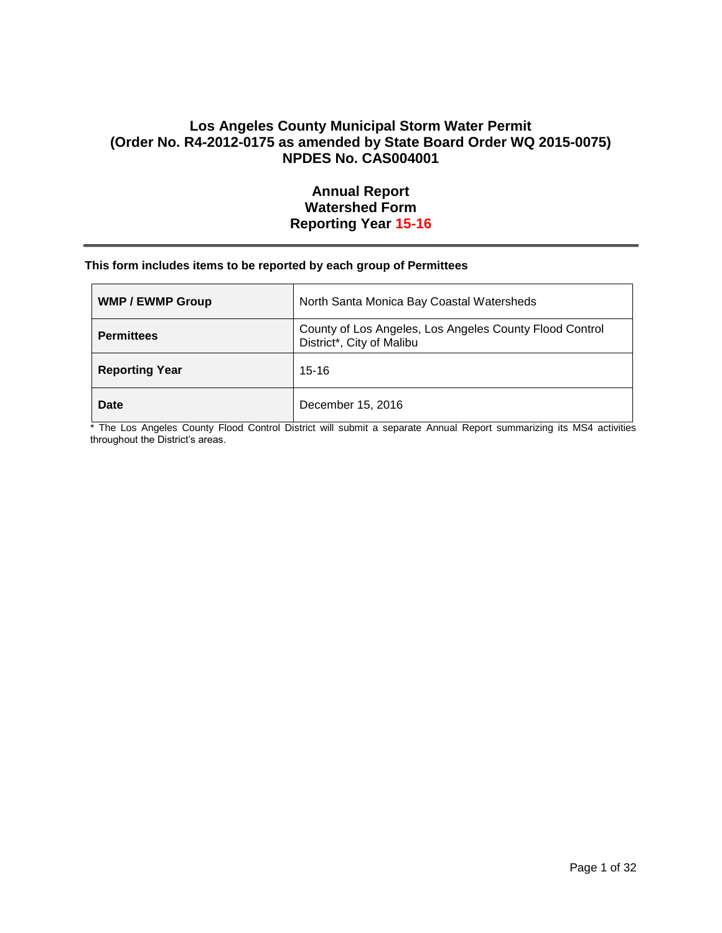# **Los Angeles County Municipal Storm Water Permit (Order No. R4-2012-0175 as amended by State Board Order WQ 2015-0075) NPDES No. CAS004001**

# **Annual Report Watershed Form Reporting Year 15-16**

## **This form includes items to be reported by each group of Permittees**

| <b>WMP / EWMP Group</b> | North Santa Monica Bay Coastal Watersheds                                            |
|-------------------------|--------------------------------------------------------------------------------------|
| <b>Permittees</b>       | County of Los Angeles, Los Angeles County Flood Control<br>District*, City of Malibu |
| <b>Reporting Year</b>   | $15 - 16$                                                                            |
| Date                    | December 15, 2016                                                                    |

\* The Los Angeles County Flood Control District will submit a separate Annual Report summarizing its MS4 activities throughout the District's areas.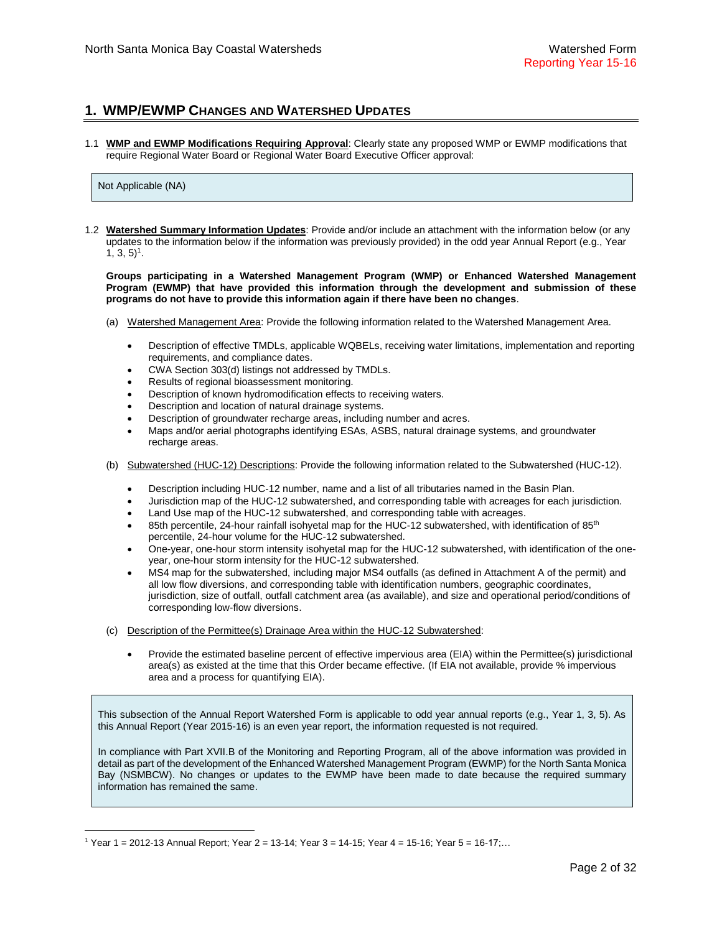## **1. WMP/EWMP CHANGES AND WATERSHED UPDATES**

1.1 **WMP and EWMP Modifications Requiring Approval**: Clearly state any proposed WMP or EWMP modifications that require Regional Water Board or Regional Water Board Executive Officer approval:

### Not Applicable (NA)

 $\overline{a}$ 

1.2 **Watershed Summary Information Updates**: Provide and/or include an attachment with the information below (or any updates to the information below if the information was previously provided) in the odd year Annual Report (e.g., Year  $1, 3, 5$ <sup>1</sup>.

**Groups participating in a Watershed Management Program (WMP) or Enhanced Watershed Management Program (EWMP) that have provided this information through the development and submission of these programs do not have to provide this information again if there have been no changes**.

- (a) Watershed Management Area: Provide the following information related to the Watershed Management Area.
	- Description of effective TMDLs, applicable WQBELs, receiving water limitations, implementation and reporting requirements, and compliance dates.
	- CWA Section 303(d) listings not addressed by TMDLs.
	- Results of regional bioassessment monitoring.
	- Description of known hydromodification effects to receiving waters.
	- Description and location of natural drainage systems.
	- Description of groundwater recharge areas, including number and acres.
	- Maps and/or aerial photographs identifying ESAs, ASBS, natural drainage systems, and groundwater recharge areas.
- (b) Subwatershed (HUC-12) Descriptions: Provide the following information related to the Subwatershed (HUC-12).
	- Description including HUC-12 number, name and a list of all tributaries named in the Basin Plan.
	- Jurisdiction map of the HUC-12 subwatershed, and corresponding table with acreages for each jurisdiction.
	- Land Use map of the HUC-12 subwatershed, and corresponding table with acreages.
	- 85th percentile, 24-hour rainfall isohyetal map for the HUC-12 subwatershed, with identification of 85<sup>th</sup> percentile, 24-hour volume for the HUC-12 subwatershed.
	- One-year, one-hour storm intensity isohyetal map for the HUC-12 subwatershed, with identification of the oneyear, one-hour storm intensity for the HUC-12 subwatershed.
	- MS4 map for the subwatershed, including major MS4 outfalls (as defined in Attachment A of the permit) and all low flow diversions, and corresponding table with identification numbers, geographic coordinates, jurisdiction, size of outfall, outfall catchment area (as available), and size and operational period/conditions of corresponding low-flow diversions.
- (c) Description of the Permittee(s) Drainage Area within the HUC-12 Subwatershed:
	- Provide the estimated baseline percent of effective impervious area (EIA) within the Permittee(s) jurisdictional area(s) as existed at the time that this Order became effective. (If EIA not available, provide % impervious area and a process for quantifying EIA).

This subsection of the Annual Report Watershed Form is applicable to odd year annual reports (e.g., Year 1, 3, 5). As this Annual Report (Year 2015-16) is an even year report, the information requested is not required.

In compliance with Part XVII.B of the Monitoring and Reporting Program, all of the above information was provided in detail as part of the development of the Enhanced Watershed Management Program (EWMP) for the North Santa Monica Bay (NSMBCW). No changes or updates to the EWMP have been made to date because the required summary information has remained the same.

<sup>1</sup> Year 1 = 2012-13 Annual Report; Year 2 = 13-14; Year 3 = 14-15; Year 4 = 15-16; Year 5 = 16-17;…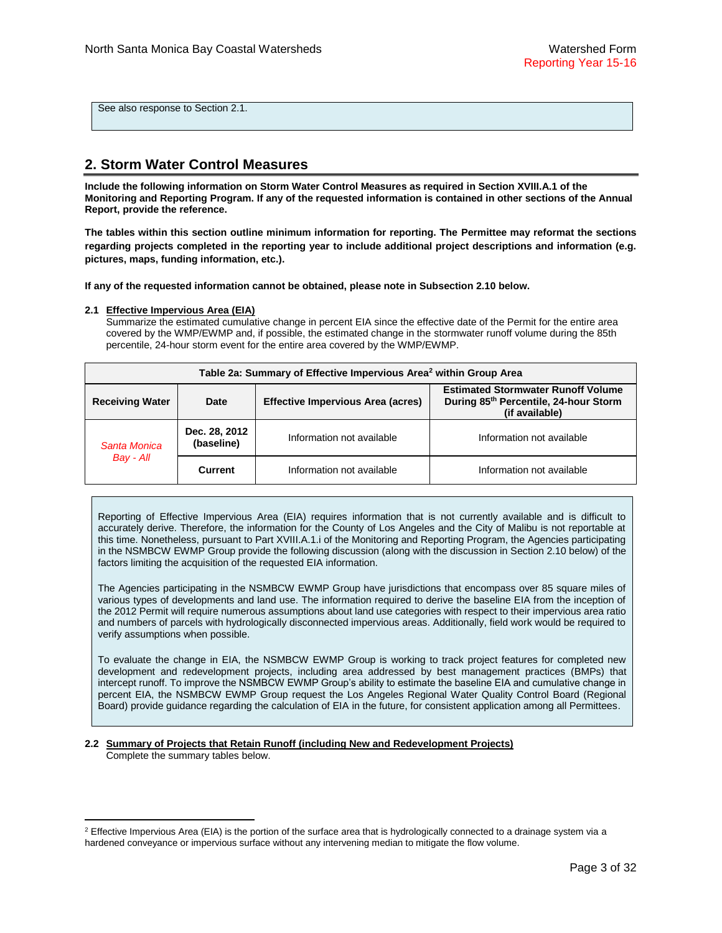See also response to Section 2.1.

# **2. Storm Water Control Measures**

**Include the following information on Storm Water Control Measures as required in Section XVIII.A.1 of the Monitoring and Reporting Program. If any of the requested information is contained in other sections of the Annual Report, provide the reference.**

**The tables within this section outline minimum information for reporting. The Permittee may reformat the sections regarding projects completed in the reporting year to include additional project descriptions and information (e.g. pictures, maps, funding information, etc.).**

**If any of the requested information cannot be obtained, please note in Subsection 2.10 below.**

### **2.1 Effective Impervious Area (EIA)**

 $\overline{a}$ 

Summarize the estimated cumulative change in percent EIA since the effective date of the Permit for the entire area covered by the WMP/EWMP and, if possible, the estimated change in the stormwater runoff volume during the 85th percentile, 24-hour storm event for the entire area covered by the WMP/EWMP.

| Table 2a: Summary of Effective Impervious Area <sup>2</sup> within Group Area |         |                                                                                                      |                           |  |  |  |
|-------------------------------------------------------------------------------|---------|------------------------------------------------------------------------------------------------------|---------------------------|--|--|--|
| <b>Receiving Water</b>                                                        | Date    | <b>Estimated Stormwater Runoff Volume</b><br>During 85th Percentile, 24-hour Storm<br>(if available) |                           |  |  |  |
| Dec. 28, 2012<br>(baseline)<br>Santa Monica                                   |         | Information not available                                                                            | Information not available |  |  |  |
| Bay - All                                                                     | Current | Information not available                                                                            | Information not available |  |  |  |

Reporting of Effective Impervious Area (EIA) requires information that is not currently available and is difficult to accurately derive. Therefore, the information for the County of Los Angeles and the City of Malibu is not reportable at this time. Nonetheless, pursuant to Part XVIII.A.1.i of the Monitoring and Reporting Program, the Agencies participating in the NSMBCW EWMP Group provide the following discussion (along with the discussion in Section 2.10 below) of the factors limiting the acquisition of the requested EIA information.

The Agencies participating in the NSMBCW EWMP Group have jurisdictions that encompass over 85 square miles of various types of developments and land use. The information required to derive the baseline EIA from the inception of the 2012 Permit will require numerous assumptions about land use categories with respect to their impervious area ratio and numbers of parcels with hydrologically disconnected impervious areas. Additionally, field work would be required to verify assumptions when possible.

To evaluate the change in EIA, the NSMBCW EWMP Group is working to track project features for completed new development and redevelopment projects, including area addressed by best management practices (BMPs) that intercept runoff. To improve the NSMBCW EWMP Group's ability to estimate the baseline EIA and cumulative change in percent EIA, the NSMBCW EWMP Group request the Los Angeles Regional Water Quality Control Board (Regional Board) provide guidance regarding the calculation of EIA in the future, for consistent application among all Permittees.

#### **2.2 Summary of Projects that Retain Runoff (including New and Redevelopment Projects)** Complete the summary tables below.

 $2$  Effective Impervious Area (EIA) is the portion of the surface area that is hydrologically connected to a drainage system via a hardened conveyance or impervious surface without any intervening median to mitigate the flow volume.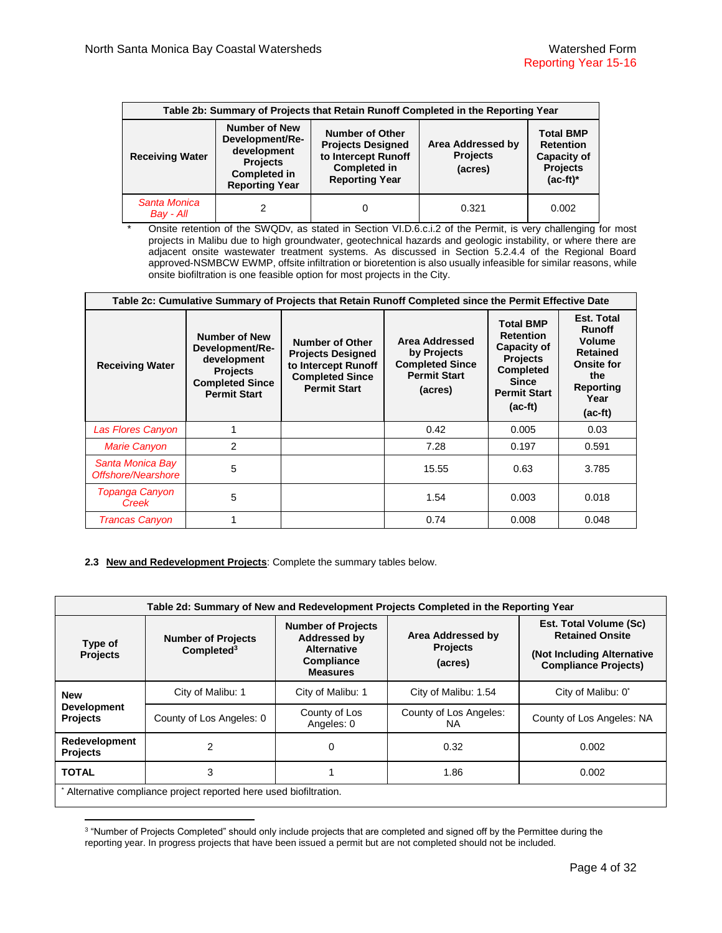| Table 2b: Summary of Projects that Retain Runoff Completed in the Reporting Year |                                                                                                                           |                                                                                                                           |                                                 |                                                                                        |  |  |  |
|----------------------------------------------------------------------------------|---------------------------------------------------------------------------------------------------------------------------|---------------------------------------------------------------------------------------------------------------------------|-------------------------------------------------|----------------------------------------------------------------------------------------|--|--|--|
| <b>Receiving Water</b>                                                           | <b>Number of New</b><br>Development/Re-<br>development<br><b>Projects</b><br><b>Completed in</b><br><b>Reporting Year</b> | <b>Number of Other</b><br><b>Projects Designed</b><br>to Intercept Runoff<br><b>Completed in</b><br><b>Reporting Year</b> | Area Addressed by<br><b>Projects</b><br>(acres) | <b>Total BMP</b><br><b>Retention</b><br>Capacity of<br><b>Projects</b><br>$(ac-fit)^*$ |  |  |  |
| Santa Monica<br>Bay - All                                                        |                                                                                                                           |                                                                                                                           | 0.321                                           | 0.002                                                                                  |  |  |  |

Onsite retention of the SWQDv, as stated in Section VI.D.6.c.i.2 of the Permit, is very challenging for most projects in Malibu due to high groundwater, geotechnical hazards and geologic instability, or where there are adjacent onsite wastewater treatment systems. As discussed in Section 5.2.4.4 of the Regional Board approved-NSMBCW EWMP, offsite infiltration or bioretention is also usually infeasible for similar reasons, while onsite biofiltration is one feasible option for most projects in the City.

| Table 2c: Cumulative Summary of Projects that Retain Runoff Completed since the Permit Effective Date |                                                                                                                     |                                                                                                                     |                                                                                           |                                                                                                                                                |                                                                                                                        |  |  |  |
|-------------------------------------------------------------------------------------------------------|---------------------------------------------------------------------------------------------------------------------|---------------------------------------------------------------------------------------------------------------------|-------------------------------------------------------------------------------------------|------------------------------------------------------------------------------------------------------------------------------------------------|------------------------------------------------------------------------------------------------------------------------|--|--|--|
| <b>Receiving Water</b>                                                                                | Number of New<br>Development/Re-<br>development<br><b>Projects</b><br><b>Completed Since</b><br><b>Permit Start</b> | Number of Other<br><b>Projects Designed</b><br>to Intercept Runoff<br><b>Completed Since</b><br><b>Permit Start</b> | Area Addressed<br>by Projects<br><b>Completed Since</b><br><b>Permit Start</b><br>(acres) | <b>Total BMP</b><br><b>Retention</b><br><b>Capacity of</b><br><b>Projects</b><br><b>Completed</b><br>Since<br><b>Permit Start</b><br>$(ac-ft)$ | Est. Total<br><b>Runoff</b><br>Volume<br><b>Retained</b><br><b>Onsite for</b><br>the<br>Reporting<br>Year<br>$(ac-ft)$ |  |  |  |
| Las Flores Canyon                                                                                     | 1                                                                                                                   |                                                                                                                     | 0.42                                                                                      | 0.005                                                                                                                                          | 0.03                                                                                                                   |  |  |  |
| <b>Marie Canyon</b>                                                                                   | 2                                                                                                                   |                                                                                                                     | 7.28                                                                                      | 0.197                                                                                                                                          | 0.591                                                                                                                  |  |  |  |
| Santa Monica Bay<br>Offshore/Nearshore                                                                | 5                                                                                                                   |                                                                                                                     | 15.55                                                                                     | 0.63                                                                                                                                           | 3.785                                                                                                                  |  |  |  |
| <b>Topanga Canyon</b><br>Creek                                                                        | 5                                                                                                                   |                                                                                                                     | 1.54                                                                                      | 0.003                                                                                                                                          | 0.018                                                                                                                  |  |  |  |
| <b>Trancas Canyon</b>                                                                                 | 1                                                                                                                   |                                                                                                                     | 0.74                                                                                      | 0.008                                                                                                                                          | 0.048                                                                                                                  |  |  |  |

## **2.3 New and Redevelopment Projects**: Complete the summary tables below.

| Table 2d: Summary of New and Redevelopment Projects Completed in the Reporting Year |                                                                  |                                                                                                         |                                                 |                                                                                                                      |  |  |  |  |
|-------------------------------------------------------------------------------------|------------------------------------------------------------------|---------------------------------------------------------------------------------------------------------|-------------------------------------------------|----------------------------------------------------------------------------------------------------------------------|--|--|--|--|
| Type of<br><b>Projects</b>                                                          | <b>Number of Projects</b><br>Completed <sup>3</sup>              | <b>Number of Projects</b><br><b>Addressed by</b><br><b>Alternative</b><br>Compliance<br><b>Measures</b> | Area Addressed by<br><b>Projects</b><br>(acres) | <b>Est. Total Volume (Sc)</b><br><b>Retained Onsite</b><br>(Not Including Alternative<br><b>Compliance Projects)</b> |  |  |  |  |
| <b>New</b>                                                                          | City of Malibu: 1                                                | City of Malibu: 1                                                                                       | City of Malibu: 1.54                            | City of Malibu: 0*                                                                                                   |  |  |  |  |
| <b>Development</b><br><b>Projects</b>                                               | County of Los Angeles: 0                                         | County of Los<br>Angeles: 0                                                                             | County of Los Angeles:<br>NA.                   | County of Los Angeles: NA                                                                                            |  |  |  |  |
| Redevelopment<br><b>Projects</b>                                                    | 2                                                                | 0                                                                                                       | 0.32                                            | 0.002                                                                                                                |  |  |  |  |
| <b>TOTAL</b>                                                                        | 3                                                                |                                                                                                         | 1.86                                            | 0.002                                                                                                                |  |  |  |  |
|                                                                                     | Alternative compliance project reported here used biofiltration. |                                                                                                         |                                                 |                                                                                                                      |  |  |  |  |

 3 "Number of Projects Completed" should only include projects that are completed and signed off by the Permittee during the reporting year. In progress projects that have been issued a permit but are not completed should not be included.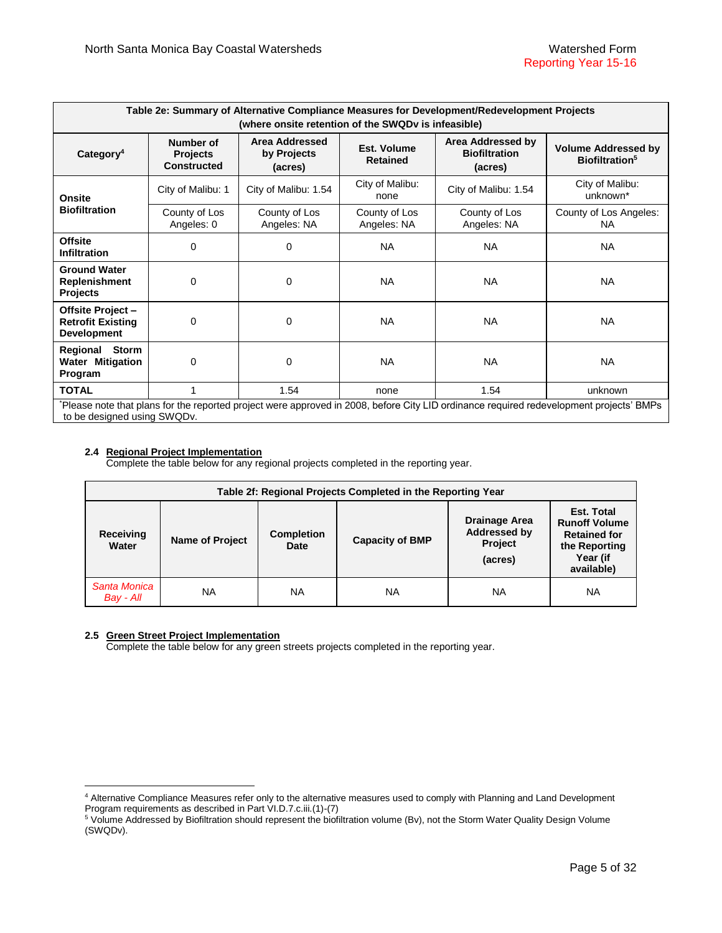| Table 2e: Summary of Alternative Compliance Measures for Development/Redevelopment Projects<br>(where onsite retention of the SWQDv is infeasible) |                                                    |                                          |                                |                                                      |                                                                                                                                        |  |  |  |
|----------------------------------------------------------------------------------------------------------------------------------------------------|----------------------------------------------------|------------------------------------------|--------------------------------|------------------------------------------------------|----------------------------------------------------------------------------------------------------------------------------------------|--|--|--|
| Category <sup>4</sup>                                                                                                                              | Number of<br><b>Projects</b><br><b>Constructed</b> | Area Addressed<br>by Projects<br>(acres) | Est. Volume<br><b>Retained</b> | Area Addressed by<br><b>Biofiltration</b><br>(acres) | <b>Volume Addressed by</b><br>Biofiltration <sup>5</sup>                                                                               |  |  |  |
| <b>Onsite</b>                                                                                                                                      | City of Malibu: 1                                  | City of Malibu: 1.54                     | City of Malibu:<br>none        | City of Malibu: 1.54                                 | City of Malibu:<br>unknown*                                                                                                            |  |  |  |
| <b>Biofiltration</b>                                                                                                                               | County of Los<br>Angeles: 0                        | County of Los<br>Angeles: NA             | County of Los<br>Angeles: NA   | County of Los<br>Angeles: NA                         | County of Los Angeles:<br>NA.                                                                                                          |  |  |  |
| <b>Offsite</b><br><b>Infiltration</b>                                                                                                              | 0                                                  | 0                                        | <b>NA</b>                      | NA.                                                  | <b>NA</b>                                                                                                                              |  |  |  |
| <b>Ground Water</b><br>Replenishment<br><b>Projects</b>                                                                                            | 0                                                  | 0                                        | <b>NA</b>                      | <b>NA</b>                                            | <b>NA</b>                                                                                                                              |  |  |  |
| Offsite Project -<br><b>Retrofit Existing</b><br><b>Development</b>                                                                                | 0                                                  | 0                                        | <b>NA</b>                      | <b>NA</b>                                            | <b>NA</b>                                                                                                                              |  |  |  |
| Regional Storm<br>Water Mitigation<br>Program                                                                                                      | 0                                                  | 0                                        | <b>NA</b>                      | <b>NA</b>                                            | <b>NA</b>                                                                                                                              |  |  |  |
| <b>TOTAL</b>                                                                                                                                       | 1                                                  | 1.54                                     | none                           | 1.54                                                 | unknown                                                                                                                                |  |  |  |
| to be designed using SWQDv.                                                                                                                        |                                                    |                                          |                                |                                                      | Please note that plans for the reported project were approved in 2008, before City LID ordinance required redevelopment projects' BMPs |  |  |  |

## **2.4 Regional Project Implementation**

Complete the table below for any regional projects completed in the reporting year.

| Table 2f: Regional Projects Completed in the Reporting Year |                                                     |           |                        |                                                            |                                                                                                      |  |  |
|-------------------------------------------------------------|-----------------------------------------------------|-----------|------------------------|------------------------------------------------------------|------------------------------------------------------------------------------------------------------|--|--|
| Receiving<br>Water                                          | <b>Completion</b><br><b>Name of Project</b><br>Date |           | <b>Capacity of BMP</b> | Drainage Area<br>Addressed by<br><b>Project</b><br>(acres) | Est. Total<br><b>Runoff Volume</b><br><b>Retained for</b><br>the Reporting<br>Year (if<br>available) |  |  |
| Santa Monica<br>Bay - All                                   | NA                                                  | <b>NA</b> | NA                     | NA                                                         | NA                                                                                                   |  |  |

## **2.5 Green Street Project Implementation**

 $\overline{a}$ 

Complete the table below for any green streets projects completed in the reporting year.

<sup>4</sup> Alternative Compliance Measures refer only to the alternative measures used to comply with Planning and Land Development Program requirements as described in Part VI.D.7.c.iii.(1)-(7)

<sup>&</sup>lt;sup>5</sup> Volume Addressed by Biofiltration should represent the biofiltration volume (Bv), not the Storm Water Quality Design Volume (SWQDv).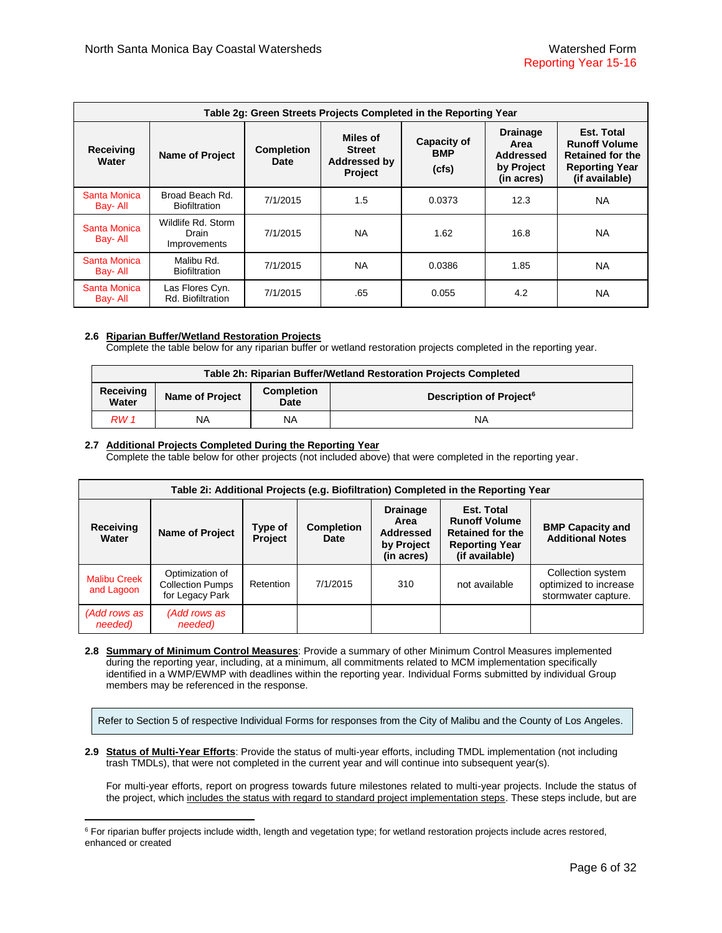|                                 | Table 2g: Green Streets Projects Completed in the Reporting Year |                                  |                                                                    |                                           |                                                                  |                                                                                                          |  |  |  |
|---------------------------------|------------------------------------------------------------------|----------------------------------|--------------------------------------------------------------------|-------------------------------------------|------------------------------------------------------------------|----------------------------------------------------------------------------------------------------------|--|--|--|
| <b>Receiving</b><br>Water       | <b>Name of Project</b>                                           | <b>Completion</b><br><b>Date</b> | Miles of<br><b>Street</b><br><b>Addressed by</b><br><b>Project</b> | <b>Capacity of</b><br><b>BMP</b><br>(cfs) | <b>Drainage</b><br>Area<br>Addressed<br>by Project<br>(in acres) | Est. Total<br><b>Runoff Volume</b><br><b>Retained for the</b><br><b>Reporting Year</b><br>(if available) |  |  |  |
| <b>Santa Monica</b><br>Bay- All | Broad Beach Rd.<br><b>Biofiltration</b>                          | 7/1/2015                         | 1.5                                                                | 0.0373                                    | 12.3                                                             | <b>NA</b>                                                                                                |  |  |  |
| Santa Monica<br>Bay- All        | Wildlife Rd. Storm<br>Drain<br><b>Improvements</b>               | 7/1/2015                         | <b>NA</b>                                                          | 1.62                                      | 16.8                                                             | <b>NA</b>                                                                                                |  |  |  |
| Santa Monica<br>Bay- All        | Malibu Rd.<br><b>Biofiltration</b>                               | 7/1/2015                         | <b>NA</b>                                                          | 0.0386                                    | 1.85                                                             | <b>NA</b>                                                                                                |  |  |  |
| <b>Santa Monica</b><br>Bay- All | Las Flores Cyn.<br>Rd. Biofiltration                             | 7/1/2015                         | .65                                                                | 0.055                                     | 4.2                                                              | <b>NA</b>                                                                                                |  |  |  |

## **2.6 Riparian Buffer/Wetland Restoration Projects**

 $\overline{a}$ 

Complete the table below for any riparian buffer or wetland restoration projects completed in the reporting year.

| Table 2h: Riparian Buffer/Wetland Restoration Projects Completed          |    |    |                                     |  |  |
|---------------------------------------------------------------------------|----|----|-------------------------------------|--|--|
| <b>Completion</b><br>Receiving<br><b>Name of Project</b><br>Water<br>Date |    |    | Description of Project <sup>6</sup> |  |  |
| RW 1                                                                      | ΝA | NA | NA                                  |  |  |

## **2.7 Additional Projects Completed During the Reporting Year**

Complete the table below for other projects (not included above) that were completed in the reporting year.

| Table 2i: Additional Projects (e.g. Biofiltration) Completed in the Reporting Year |                                                               |                    |                           |                                                                         |                                                                                                                 |                                                                   |  |
|------------------------------------------------------------------------------------|---------------------------------------------------------------|--------------------|---------------------------|-------------------------------------------------------------------------|-----------------------------------------------------------------------------------------------------------------|-------------------------------------------------------------------|--|
| Receiving<br>Water                                                                 | <b>Name of Project</b>                                        | Type of<br>Project | <b>Completion</b><br>Date | <b>Drainage</b><br>Area<br><b>Addressed</b><br>by Project<br>(in acres) | <b>Est. Total</b><br><b>Runoff Volume</b><br><b>Retained for the</b><br><b>Reporting Year</b><br>(if available) | <b>BMP Capacity and</b><br><b>Additional Notes</b>                |  |
| <b>Malibu Creek</b><br>and Lagoon                                                  | Optimization of<br><b>Collection Pumps</b><br>for Legacy Park | Retention          | 7/1/2015                  | 310                                                                     | not available                                                                                                   | Collection system<br>optimized to increase<br>stormwater capture. |  |
| (Add rows as<br>needed)                                                            | (Add rows as<br>needed)                                       |                    |                           |                                                                         |                                                                                                                 |                                                                   |  |

**2.8 Summary of Minimum Control Measures**: Provide a summary of other Minimum Control Measures implemented during the reporting year, including, at a minimum, all commitments related to MCM implementation specifically identified in a WMP/EWMP with deadlines within the reporting year. Individual Forms submitted by individual Group members may be referenced in the response.

Refer to Section 5 of respective Individual Forms for responses from the City of Malibu and the County of Los Angeles.

**2.9 Status of Multi-Year Efforts**: Provide the status of multi-year efforts, including TMDL implementation (not including trash TMDLs), that were not completed in the current year and will continue into subsequent year(s).

For multi-year efforts, report on progress towards future milestones related to multi-year projects. Include the status of the project, which includes the status with regard to standard project implementation steps. These steps include, but are

<sup>&</sup>lt;sup>6</sup> For riparian buffer projects include width, length and vegetation type; for wetland restoration projects include acres restored, enhanced or created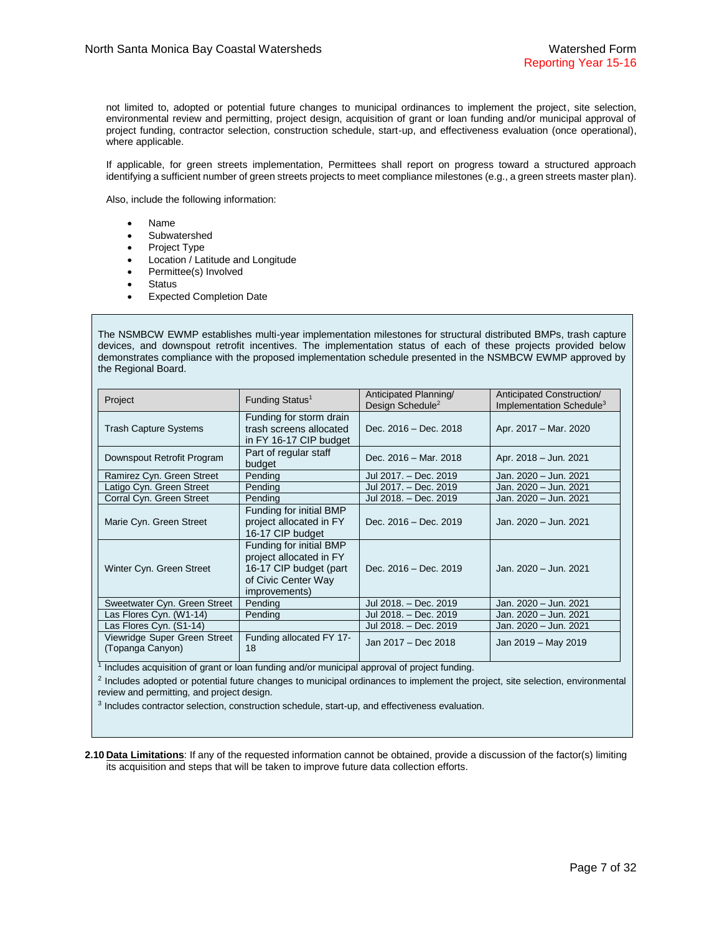not limited to, adopted or potential future changes to municipal ordinances to implement the project, site selection, environmental review and permitting, project design, acquisition of grant or loan funding and/or municipal approval of project funding, contractor selection, construction schedule, start-up, and effectiveness evaluation (once operational), where applicable.

If applicable, for green streets implementation, Permittees shall report on progress toward a structured approach identifying a sufficient number of green streets projects to meet compliance milestones (e.g., a green streets master plan).

Also, include the following information:

- Name
- Subwatershed
- Project Type
- Location / Latitude and Longitude
- Permittee(s) Involved
- Status
- Expected Completion Date

The NSMBCW EWMP establishes multi-year implementation milestones for structural distributed BMPs, trash capture devices, and downspout retrofit incentives. The implementation status of each of these projects provided below demonstrates compliance with the proposed implementation schedule presented in the NSMBCW EWMP approved by the Regional Board.

| Project                                          | Funding Status <sup>1</sup>                                                                                          | Anticipated Planning<br>Design Schedule <sup>2</sup> | Anticipated Construction/<br>Implementation Schedule <sup>3</sup> |
|--------------------------------------------------|----------------------------------------------------------------------------------------------------------------------|------------------------------------------------------|-------------------------------------------------------------------|
| <b>Trash Capture Systems</b>                     | Funding for storm drain<br>trash screens allocated<br>in FY 16-17 CIP budget                                         | Dec. 2016 – Dec. 2018                                | Apr. 2017 – Mar. 2020                                             |
| Downspout Retrofit Program                       | Part of regular staff<br>budget                                                                                      | Dec. 2016 – Mar. 2018                                | Apr. 2018 - Jun. 2021                                             |
| Ramirez Cyn. Green Street                        | Pending                                                                                                              | Jul 2017. - Dec. 2019                                | Jan. 2020 – Jun. 2021                                             |
| Latigo Cyn. Green Street                         | Pending                                                                                                              | Jul 2017. - Dec. 2019                                | Jan. 2020 – Jun. 2021                                             |
| Corral Cyn. Green Street                         | Pending                                                                                                              | Jul 2018. - Dec. 2019                                | Jan. 2020 – Jun. 2021                                             |
| Marie Cyn. Green Street                          | Funding for initial BMP<br>project allocated in FY<br>16-17 CIP budget                                               | Dec. 2016 – Dec. 2019                                | Jan. 2020 - Jun. 2021                                             |
| Winter Cyn. Green Street                         | Funding for initial BMP<br>project allocated in FY<br>16-17 CIP budget (part<br>of Civic Center Way<br>improvements) | Dec. 2016 - Dec. 2019                                | Jan. 2020 - Jun. 2021                                             |
| Sweetwater Cyn. Green Street                     | Pending                                                                                                              | Jul 2018. - Dec. 2019                                | Jan. 2020 - Jun. 2021                                             |
| Las Flores Cyn. (W1-14)                          | Pending                                                                                                              | Jul 2018. - Dec. 2019                                | Jan. 2020 - Jun. 2021                                             |
| Las Flores Cyn. (S1-14)                          |                                                                                                                      | Jul 2018. - Dec. 2019                                | Jan. 2020 - Jun. 2021                                             |
| Viewridge Super Green Street<br>(Topanga Canyon) | Funding allocated FY 17-<br>18                                                                                       | Jan 2017 - Dec 2018                                  | Jan 2019 – May 2019                                               |

<sup>1</sup> Includes acquisition of grant or loan funding and/or municipal approval of project funding.

<sup>2</sup> Includes adopted or potential future changes to municipal ordinances to implement the project, site selection, environmental review and permitting, and project design.

<sup>3</sup> Includes contractor selection, construction schedule, start-up, and effectiveness evaluation.

**2.10 Data Limitations**: If any of the requested information cannot be obtained, provide a discussion of the factor(s) limiting its acquisition and steps that will be taken to improve future data collection efforts.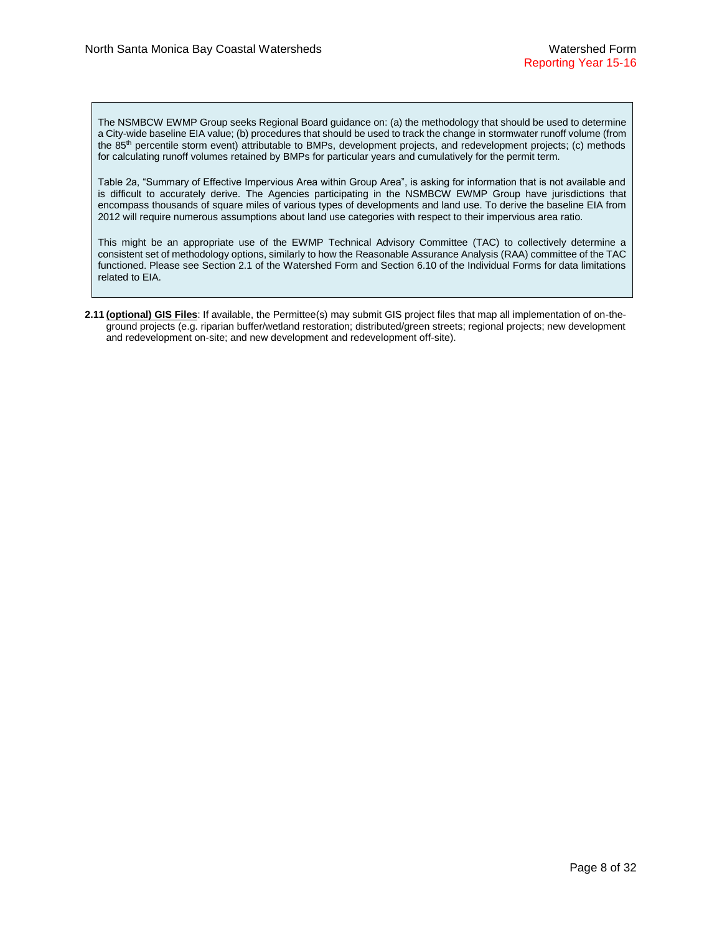The NSMBCW EWMP Group seeks Regional Board guidance on: (a) the methodology that should be used to determine a City-wide baseline EIA value; (b) procedures that should be used to track the change in stormwater runoff volume (from the 85<sup>th</sup> percentile storm event) attributable to BMPs, development projects, and redevelopment projects; (c) methods for calculating runoff volumes retained by BMPs for particular years and cumulatively for the permit term.

Table 2a, "Summary of Effective Impervious Area within Group Area", is asking for information that is not available and is difficult to accurately derive. The Agencies participating in the NSMBCW EWMP Group have jurisdictions that encompass thousands of square miles of various types of developments and land use. To derive the baseline EIA from 2012 will require numerous assumptions about land use categories with respect to their impervious area ratio.

This might be an appropriate use of the EWMP Technical Advisory Committee (TAC) to collectively determine a consistent set of methodology options, similarly to how the Reasonable Assurance Analysis (RAA) committee of the TAC functioned. Please see Section 2.1 of the Watershed Form and Section 6.10 of the Individual Forms for data limitations related to EIA.

**2.11 (optional) GIS Files**: If available, the Permittee(s) may submit GIS project files that map all implementation of on-theground projects (e.g. riparian buffer/wetland restoration; distributed/green streets; regional projects; new development and redevelopment on-site; and new development and redevelopment off-site).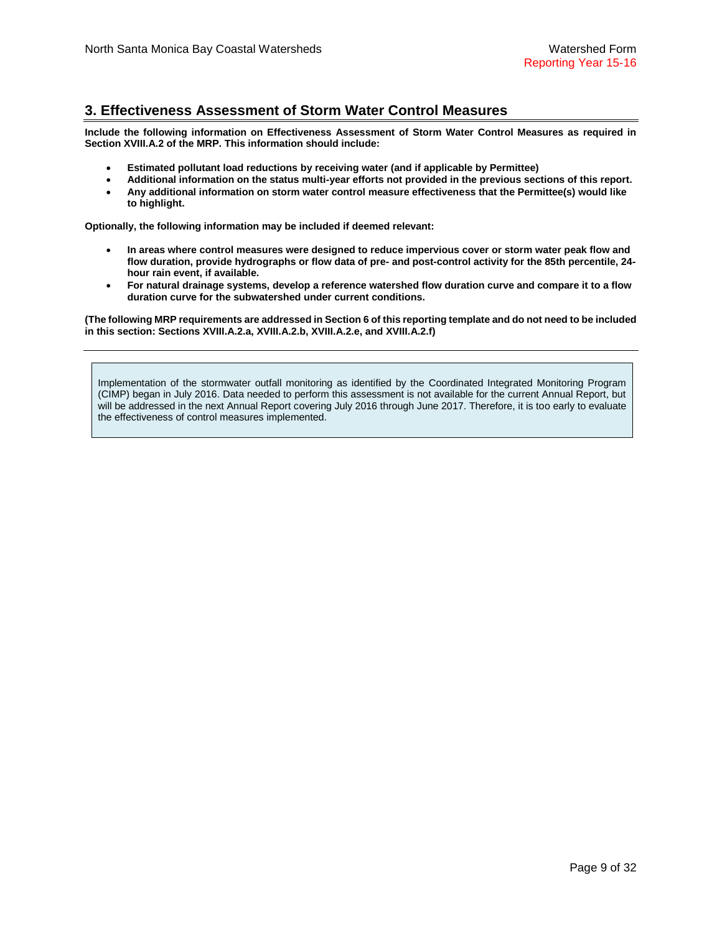# **3. Effectiveness Assessment of Storm Water Control Measures**

**Include the following information on Effectiveness Assessment of Storm Water Control Measures as required in Section XVIII.A.2 of the MRP. This information should include:**

- **Estimated pollutant load reductions by receiving water (and if applicable by Permittee)**
- **Additional information on the status multi-year efforts not provided in the previous sections of this report.**
- **Any additional information on storm water control measure effectiveness that the Permittee(s) would like to highlight.**

**Optionally, the following information may be included if deemed relevant:**

- **In areas where control measures were designed to reduce impervious cover or storm water peak flow and flow duration, provide hydrographs or flow data of pre- and post-control activity for the 85th percentile, 24 hour rain event, if available.**
- **For natural drainage systems, develop a reference watershed flow duration curve and compare it to a flow duration curve for the subwatershed under current conditions.**

**(The following MRP requirements are addressed in Section 6 of this reporting template and do not need to be included in this section: Sections XVIII.A.2.a, XVIII.A.2.b, XVIII.A.2.e, and XVIII.A.2.f)**

Implementation of the stormwater outfall monitoring as identified by the Coordinated Integrated Monitoring Program (CIMP) began in July 2016. Data needed to perform this assessment is not available for the current Annual Report, but will be addressed in the next Annual Report covering July 2016 through June 2017. Therefore, it is too early to evaluate the effectiveness of control measures implemented.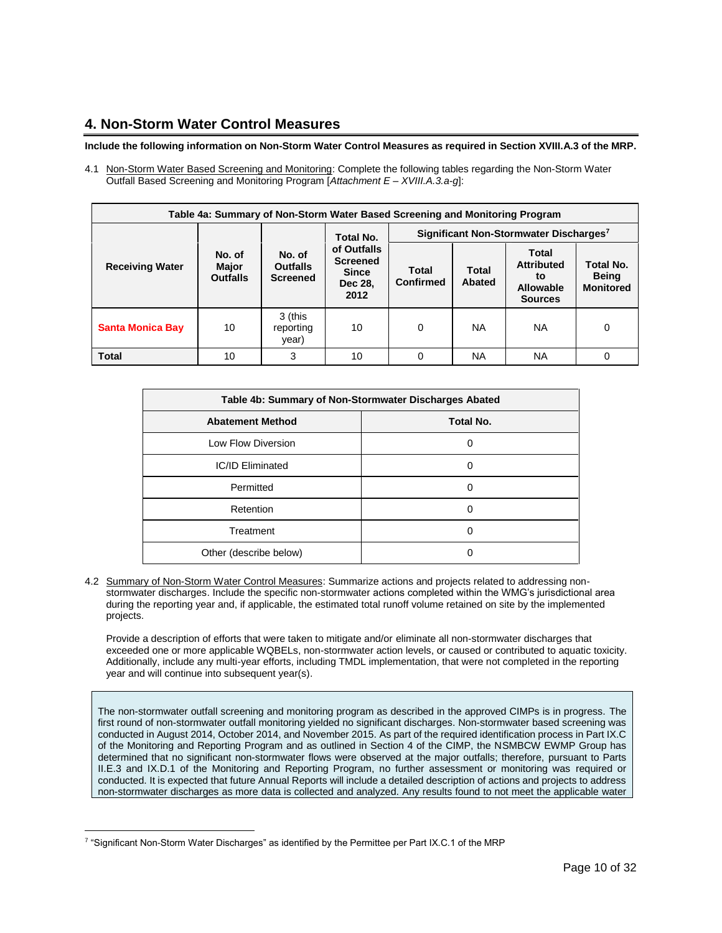# **4. Non-Storm Water Control Measures**

## **Include the following information on Non-Storm Water Control Measures as required in Section XVIII.A.3 of the MRP.**

4.1 Non-Storm Water Based Screening and Monitoring: Complete the following tables regarding the Non-Storm Water Outfall Based Screening and Monitoring Program [*Attachment E – XVIII.A.3.a-g*]:

| Table 4a: Summary of Non-Storm Water Based Screening and Monitoring Program |                                    |                                              |                                                                                       |                                                    |                 |                                                                 |                                               |
|-----------------------------------------------------------------------------|------------------------------------|----------------------------------------------|---------------------------------------------------------------------------------------|----------------------------------------------------|-----------------|-----------------------------------------------------------------|-----------------------------------------------|
|                                                                             |                                    |                                              | <b>Total No.</b><br>of Outfalls<br><b>Screened</b><br><b>Since</b><br>Dec 28,<br>2012 | Significant Non-Stormwater Discharges <sup>7</sup> |                 |                                                                 |                                               |
| <b>Receiving Water</b>                                                      | No. of<br>Major<br><b>Outfalls</b> | No. of<br><b>Outfalls</b><br><b>Screened</b> |                                                                                       | Total<br>Confirmed                                 | Total<br>Abated | Total<br><b>Attributed</b><br>tο<br>Allowable<br><b>Sources</b> | Total No.<br><b>Being</b><br><b>Monitored</b> |
| <b>Santa Monica Bay</b>                                                     | 10                                 | 3 (this<br>reporting<br>year)                | 10                                                                                    | 0                                                  | <b>NA</b>       | NA.                                                             | 0                                             |
| <b>Total</b>                                                                | 10                                 | 3                                            | 10                                                                                    | 0                                                  | <b>NA</b>       | <b>NA</b>                                                       | 0                                             |

| Table 4b: Summary of Non-Stormwater Discharges Abated |           |  |  |
|-------------------------------------------------------|-----------|--|--|
| <b>Abatement Method</b>                               | Total No. |  |  |
| Low Flow Diversion                                    |           |  |  |
| <b>IC/ID Eliminated</b>                               |           |  |  |
| Permitted                                             | 0         |  |  |
| Retention                                             | 0         |  |  |
| Treatment                                             |           |  |  |
| Other (describe below)                                |           |  |  |

4.2 Summary of Non-Storm Water Control Measures: Summarize actions and projects related to addressing nonstormwater discharges. Include the specific non-stormwater actions completed within the WMG's jurisdictional area during the reporting year and, if applicable, the estimated total runoff volume retained on site by the implemented projects.

Provide a description of efforts that were taken to mitigate and/or eliminate all non-stormwater discharges that exceeded one or more applicable WQBELs, non-stormwater action levels, or caused or contributed to aquatic toxicity. Additionally, include any multi-year efforts, including TMDL implementation, that were not completed in the reporting year and will continue into subsequent year(s).

The non-stormwater outfall screening and monitoring program as described in the approved CIMPs is in progress. The first round of non-stormwater outfall monitoring yielded no significant discharges. Non-stormwater based screening was conducted in August 2014, October 2014, and November 2015. As part of the required identification process in Part IX.C of the Monitoring and Reporting Program and as outlined in Section 4 of the CIMP, the NSMBCW EWMP Group has determined that no significant non-stormwater flows were observed at the major outfalls; therefore, pursuant to Parts II.E.3 and IX.D.1 of the Monitoring and Reporting Program, no further assessment or monitoring was required or conducted. It is expected that future Annual Reports will include a detailed description of actions and projects to address non-stormwater discharges as more data is collected and analyzed. Any results found to not meet the applicable water

 $\overline{a}$ 

<sup>7</sup> "Significant Non-Storm Water Discharges" as identified by the Permittee per Part IX.C.1 of the MRP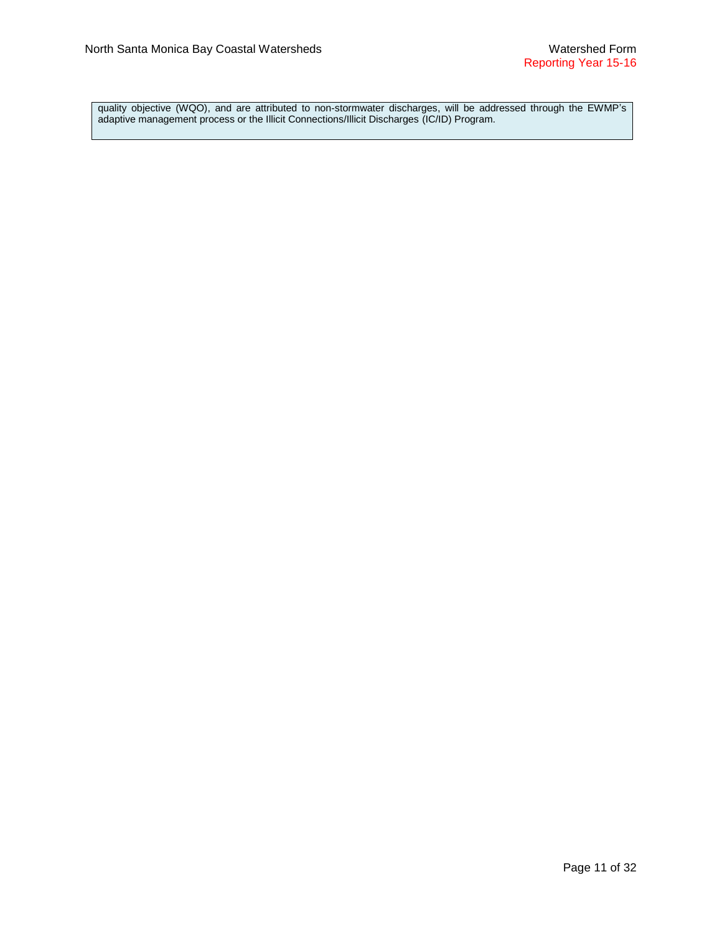quality objective (WQO), and are attributed to non-stormwater discharges, will be addressed through the EWMP's adaptive management process or the Illicit Connections/Illicit Discharges (IC/ID) Program.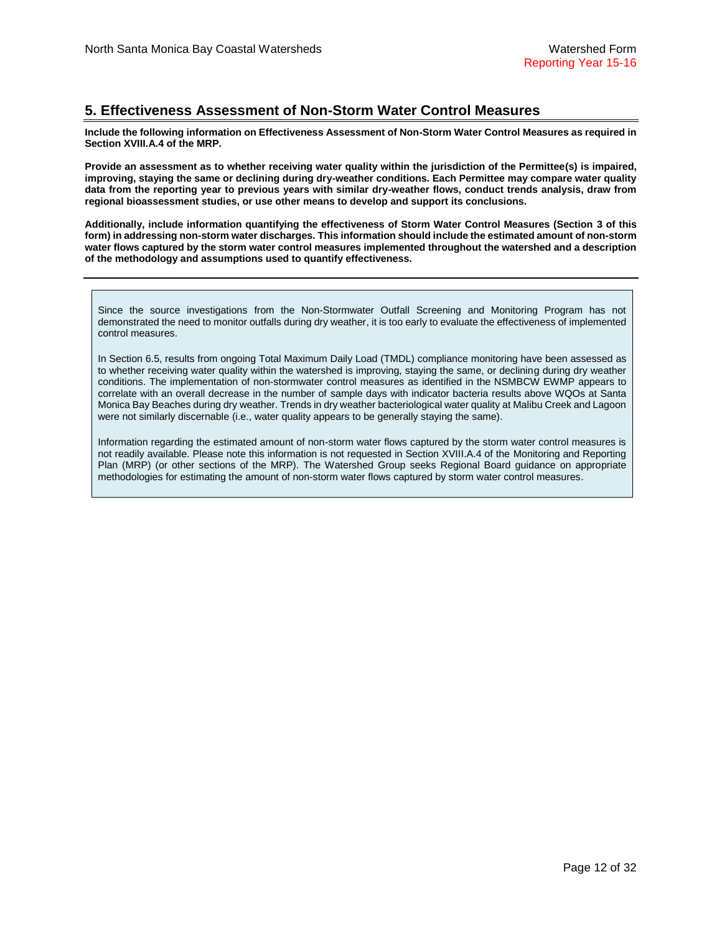# **5. Effectiveness Assessment of Non-Storm Water Control Measures**

**Include the following information on Effectiveness Assessment of Non-Storm Water Control Measures as required in Section XVIII.A.4 of the MRP.**

**Provide an assessment as to whether receiving water quality within the jurisdiction of the Permittee(s) is impaired, improving, staying the same or declining during dry-weather conditions. Each Permittee may compare water quality data from the reporting year to previous years with similar dry-weather flows, conduct trends analysis, draw from regional bioassessment studies, or use other means to develop and support its conclusions.**

**Additionally, include information quantifying the effectiveness of Storm Water Control Measures (Section 3 of this form) in addressing non-storm water discharges. This information should include the estimated amount of non-storm water flows captured by the storm water control measures implemented throughout the watershed and a description of the methodology and assumptions used to quantify effectiveness.** 

Since the source investigations from the Non-Stormwater Outfall Screening and Monitoring Program has not demonstrated the need to monitor outfalls during dry weather, it is too early to evaluate the effectiveness of implemented control measures.

In Section 6.5, results from ongoing Total Maximum Daily Load (TMDL) compliance monitoring have been assessed as to whether receiving water quality within the watershed is improving, staying the same, or declining during dry weather conditions. The implementation of non-stormwater control measures as identified in the NSMBCW EWMP appears to correlate with an overall decrease in the number of sample days with indicator bacteria results above WQOs at Santa Monica Bay Beaches during dry weather. Trends in dry weather bacteriological water quality at Malibu Creek and Lagoon were not similarly discernable (i.e., water quality appears to be generally staying the same).

Information regarding the estimated amount of non-storm water flows captured by the storm water control measures is not readily available. Please note this information is not requested in Section XVIII.A.4 of the Monitoring and Reporting Plan (MRP) (or other sections of the MRP). The Watershed Group seeks Regional Board guidance on appropriate methodologies for estimating the amount of non-storm water flows captured by storm water control measures.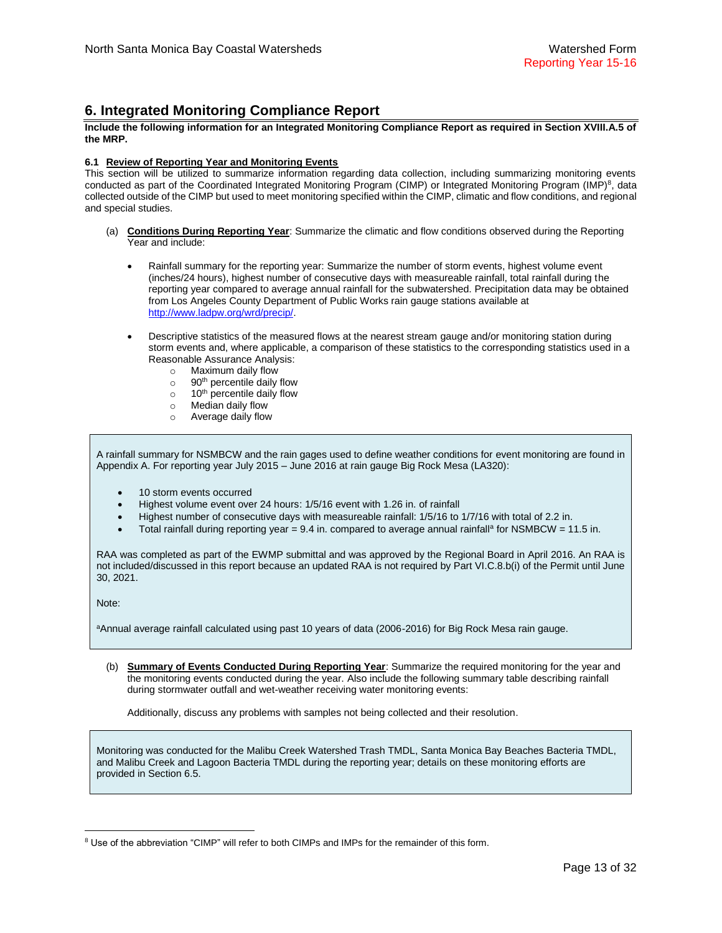## **6. Integrated Monitoring Compliance Report**

#### **Include the following information for an Integrated Monitoring Compliance Report as required in Section XVIII.A.5 of the MRP.**

### **6.1 Review of Reporting Year and Monitoring Events**

This section will be utilized to summarize information regarding data collection, including summarizing monitoring events conducted as part of the Coordinated Integrated Monitoring Program (CIMP) or Integrated Monitoring Program (IMP)<sup>8</sup>, data collected outside of the CIMP but used to meet monitoring specified within the CIMP, climatic and flow conditions, and regional and special studies.

- (a) **Conditions During Reporting Year**: Summarize the climatic and flow conditions observed during the Reporting Year and include:
	- Rainfall summary for the reporting year: Summarize the number of storm events, highest volume event (inches/24 hours), highest number of consecutive days with measureable rainfall, total rainfall during the reporting year compared to average annual rainfall for the subwatershed. Precipitation data may be obtained from Los Angeles County Department of Public Works rain gauge stations available at [http://www.ladpw.org/wrd/precip/.](http://www.ladpw.org/wrd/precip/)
	- Descriptive statistics of the measured flows at the nearest stream gauge and/or monitoring station during storm events and, where applicable, a comparison of these statistics to the corresponding statistics used in a Reasonable Assurance Analysis:
		- o Maximum daily flow
		- $\circ$  90<sup>th</sup> percentile daily flow
		- $\circ$  10<sup>th</sup> percentile daily flow
		- o Median daily flow
		- o Average daily flow

A rainfall summary for NSMBCW and the rain gages used to define weather conditions for event monitoring are found in Appendix A. For reporting year July 2015 – June 2016 at rain gauge Big Rock Mesa (LA320):

- 10 storm events occurred
- Highest volume event over 24 hours: 1/5/16 event with 1.26 in, of rainfall
- Highest number of consecutive days with measureable rainfall: 1/5/16 to 1/7/16 with total of 2.2 in.
- $\bullet$  Total rainfall during reporting year = 9.4 in. compared to average annual rainfall<sup>a</sup> for NSMBCW = 11.5 in.

RAA was completed as part of the EWMP submittal and was approved by the Regional Board in April 2016. An RAA is not included/discussed in this report because an updated RAA is not required by Part VI.C.8.b(i) of the Permit until June 30, 2021.

Note:

 $\overline{a}$ 

aAnnual average rainfall calculated using past 10 years of data (2006-2016) for Big Rock Mesa rain gauge.

(b) **Summary of Events Conducted During Reporting Year**: Summarize the required monitoring for the year and the monitoring events conducted during the year. Also include the following summary table describing rainfall during stormwater outfall and wet-weather receiving water monitoring events:

Additionally, discuss any problems with samples not being collected and their resolution.

Monitoring was conducted for the Malibu Creek Watershed Trash TMDL, Santa Monica Bay Beaches Bacteria TMDL, and Malibu Creek and Lagoon Bacteria TMDL during the reporting year; details on these monitoring efforts are provided in Section 6.5.

<sup>&</sup>lt;sup>8</sup> Use of the abbreviation "CIMP" will refer to both CIMPs and IMPs for the remainder of this form.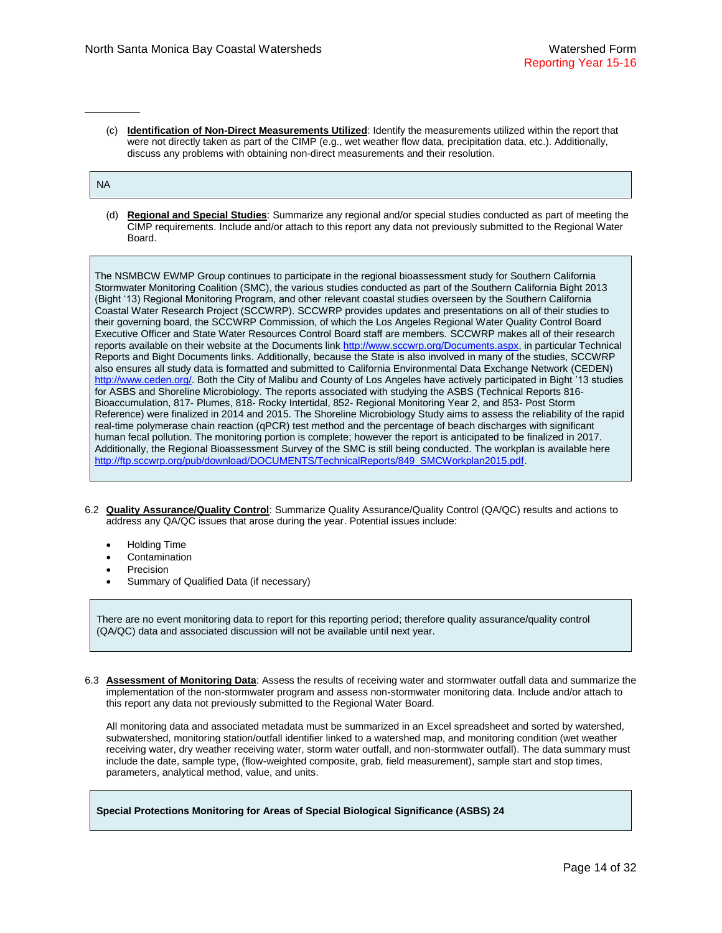(c) **Identification of Non-Direct Measurements Utilized**: Identify the measurements utilized within the report that were not directly taken as part of the CIMP (e.g., wet weather flow data, precipitation data, etc.). Additionally, discuss any problems with obtaining non-direct measurements and their resolution.

### NA

(d) **Regional and Special Studies**: Summarize any regional and/or special studies conducted as part of meeting the CIMP requirements. Include and/or attach to this report any data not previously submitted to the Regional Water Board.

The NSMBCW EWMP Group continues to participate in the regional bioassessment study for Southern California Stormwater Monitoring Coalition (SMC), the various studies conducted as part of the Southern California Bight 2013 (Bight '13) Regional Monitoring Program, and other relevant coastal studies overseen by the Southern California Coastal Water Research Project (SCCWRP). SCCWRP provides updates and presentations on all of their studies to their governing board, the SCCWRP Commission, of which the Los Angeles Regional Water Quality Control Board Executive Officer and State Water Resources Control Board staff are members. SCCWRP makes all of their research reports available on their website at the Documents link [http://www.sccwrp.org/Documents.aspx,](http://www.sccwrp.org/Documents.aspx) in particular Technical Reports and Bight Documents links. Additionally, because the State is also involved in many of the studies, SCCWRP also ensures all study data is formatted and submitted to California Environmental Data Exchange Network (CEDEN) [http://www.ceden.org/.](http://www.ceden.org/) Both the City of Malibu and County of Los Angeles have actively participated in Bight '13 studies for ASBS and Shoreline Microbiology. The reports associated with studying the ASBS (Technical Reports 816- Bioaccumulation, 817- Plumes, 818- Rocky Intertidal, 852- Regional Monitoring Year 2, and 853- Post Storm Reference) were finalized in 2014 and 2015. The Shoreline Microbiology Study aims to assess the reliability of the rapid real-time polymerase chain reaction (qPCR) test method and the percentage of beach discharges with significant human fecal pollution. The monitoring portion is complete; however the report is anticipated to be finalized in 2017. Additionally, the Regional Bioassessment Survey of the SMC is still being conducted. The workplan is available here [http://ftp.sccwrp.org/pub/download/DOCUMENTS/TechnicalReports/849\\_SMCWorkplan2015.pdf.](http://ftp.sccwrp.org/pub/download/DOCUMENTS/TechnicalReports/849_SMCWorkplan2015.pdf)

- 6.2 **Quality Assurance/Quality Control**: Summarize Quality Assurance/Quality Control (QA/QC) results and actions to address any QA/QC issues that arose during the year. Potential issues include:
	- Holding Time
	- Contamination
	- Precision
	- Summary of Qualified Data (if necessary)

There are no event monitoring data to report for this reporting period; therefore quality assurance/quality control (QA/QC) data and associated discussion will not be available until next year.

6.3 **Assessment of Monitoring Data**: Assess the results of receiving water and stormwater outfall data and summarize the implementation of the non-stormwater program and assess non-stormwater monitoring data. Include and/or attach to this report any data not previously submitted to the Regional Water Board.

All monitoring data and associated metadata must be summarized in an Excel spreadsheet and sorted by watershed, subwatershed, monitoring station/outfall identifier linked to a watershed map, and monitoring condition (wet weather receiving water, dry weather receiving water, storm water outfall, and non-stormwater outfall). The data summary must include the date, sample type, (flow-weighted composite, grab, field measurement), sample start and stop times, parameters, analytical method, value, and units.

**Special Protections Monitoring for Areas of Special Biological Significance (ASBS) 24**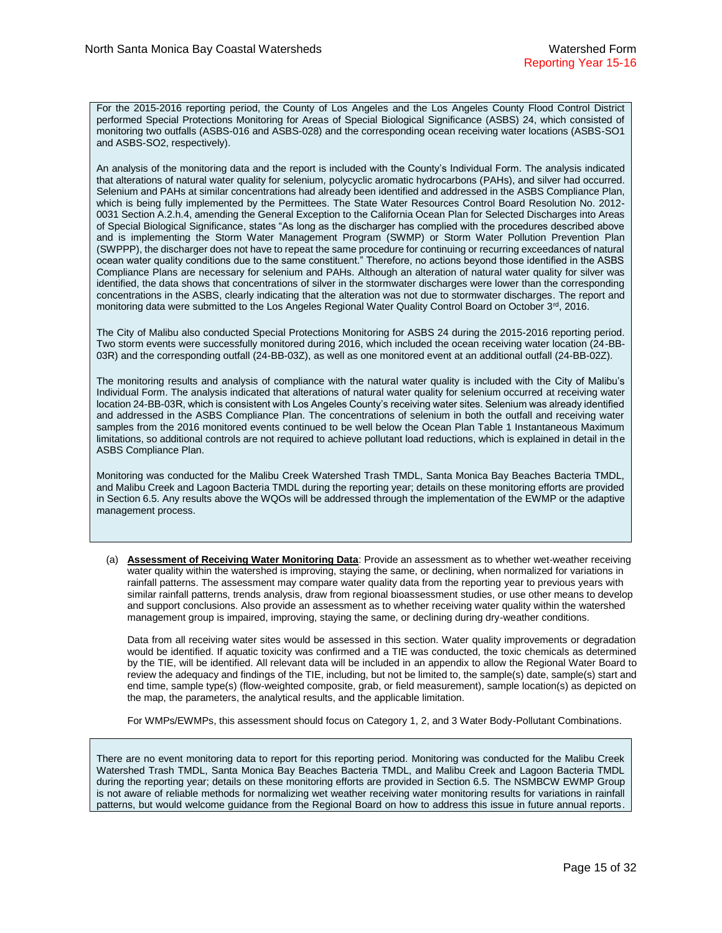For the 2015-2016 reporting period, the County of Los Angeles and the Los Angeles County Flood Control District performed Special Protections Monitoring for Areas of Special Biological Significance (ASBS) 24, which consisted of monitoring two outfalls (ASBS-016 and ASBS-028) and the corresponding ocean receiving water locations (ASBS-SO1 and ASBS-SO2, respectively).

An analysis of the monitoring data and the report is included with the County's Individual Form. The analysis indicated that alterations of natural water quality for selenium, polycyclic aromatic hydrocarbons (PAHs), and silver had occurred. Selenium and PAHs at similar concentrations had already been identified and addressed in the ASBS Compliance Plan, which is being fully implemented by the Permittees. The State Water Resources Control Board Resolution No. 2012- 0031 Section A.2.h.4, amending the General Exception to the California Ocean Plan for Selected Discharges into Areas of Special Biological Significance, states "As long as the discharger has complied with the procedures described above and is implementing the Storm Water Management Program (SWMP) or Storm Water Pollution Prevention Plan (SWPPP), the discharger does not have to repeat the same procedure for continuing or recurring exceedances of natural ocean water quality conditions due to the same constituent." Therefore, no actions beyond those identified in the ASBS Compliance Plans are necessary for selenium and PAHs. Although an alteration of natural water quality for silver was identified, the data shows that concentrations of silver in the stormwater discharges were lower than the corresponding concentrations in the ASBS, clearly indicating that the alteration was not due to stormwater discharges. The report and monitoring data were submitted to the Los Angeles Regional Water Quality Control Board on October 3<sup>rd</sup>, 2016.

The City of Malibu also conducted Special Protections Monitoring for ASBS 24 during the 2015-2016 reporting period. Two storm events were successfully monitored during 2016, which included the ocean receiving water location (24-BB-03R) and the corresponding outfall (24-BB-03Z), as well as one monitored event at an additional outfall (24-BB-02Z).

The monitoring results and analysis of compliance with the natural water quality is included with the City of Malibu's Individual Form. The analysis indicated that alterations of natural water quality for selenium occurred at receiving water location 24-BB-03R, which is consistent with Los Angeles County's receiving water sites. Selenium was already identified and addressed in the ASBS Compliance Plan. The concentrations of selenium in both the outfall and receiving water samples from the 2016 monitored events continued to be well below the Ocean Plan Table 1 Instantaneous Maximum limitations, so additional controls are not required to achieve pollutant load reductions, which is explained in detail in the ASBS Compliance Plan.

Monitoring was conducted for the Malibu Creek Watershed Trash TMDL, Santa Monica Bay Beaches Bacteria TMDL, and Malibu Creek and Lagoon Bacteria TMDL during the reporting year; details on these monitoring efforts are provided in Section 6.5. Any results above the WQOs will be addressed through the implementation of the EWMP or the adaptive management process.

(a) **Assessment of Receiving Water Monitoring Data**: Provide an assessment as to whether wet-weather receiving water quality within the watershed is improving, staying the same, or declining, when normalized for variations in rainfall patterns. The assessment may compare water quality data from the reporting year to previous years with similar rainfall patterns, trends analysis, draw from regional bioassessment studies, or use other means to develop and support conclusions. Also provide an assessment as to whether receiving water quality within the watershed management group is impaired, improving, staying the same, or declining during dry-weather conditions.

Data from all receiving water sites would be assessed in this section. Water quality improvements or degradation would be identified. If aquatic toxicity was confirmed and a TIE was conducted, the toxic chemicals as determined by the TIE, will be identified. All relevant data will be included in an appendix to allow the Regional Water Board to review the adequacy and findings of the TIE, including, but not be limited to, the sample(s) date, sample(s) start and end time, sample type(s) (flow-weighted composite, grab, or field measurement), sample location(s) as depicted on the map, the parameters, the analytical results, and the applicable limitation.

For WMPs/EWMPs, this assessment should focus on Category 1, 2, and 3 Water Body-Pollutant Combinations.

There are no event monitoring data to report for this reporting period. Monitoring was conducted for the Malibu Creek Watershed Trash TMDL, Santa Monica Bay Beaches Bacteria TMDL, and Malibu Creek and Lagoon Bacteria TMDL during the reporting year; details on these monitoring efforts are provided in Section 6.5. The NSMBCW EWMP Group is not aware of reliable methods for normalizing wet weather receiving water monitoring results for variations in rainfall patterns, but would welcome guidance from the Regional Board on how to address this issue in future annual reports.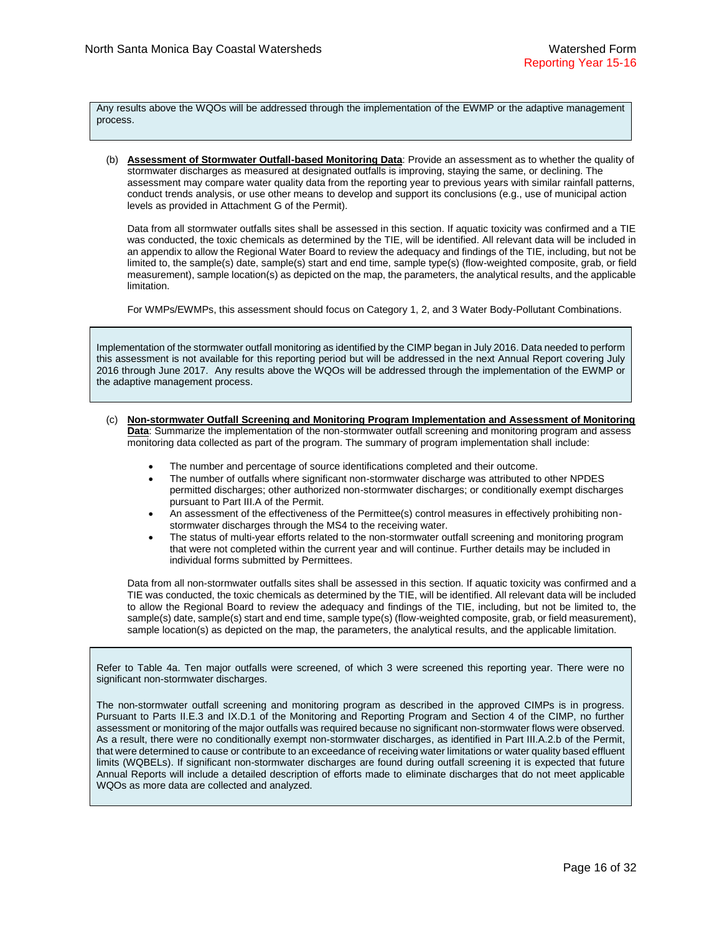Any results above the WQOs will be addressed through the implementation of the EWMP or the adaptive management process.

(b) **Assessment of Stormwater Outfall-based Monitoring Data**: Provide an assessment as to whether the quality of stormwater discharges as measured at designated outfalls is improving, staying the same, or declining. The assessment may compare water quality data from the reporting year to previous years with similar rainfall patterns, conduct trends analysis, or use other means to develop and support its conclusions (e.g., use of municipal action levels as provided in Attachment G of the Permit).

Data from all stormwater outfalls sites shall be assessed in this section. If aquatic toxicity was confirmed and a TIE was conducted, the toxic chemicals as determined by the TIE, will be identified. All relevant data will be included in an appendix to allow the Regional Water Board to review the adequacy and findings of the TIE, including, but not be limited to, the sample(s) date, sample(s) start and end time, sample type(s) (flow-weighted composite, grab, or field measurement), sample location(s) as depicted on the map, the parameters, the analytical results, and the applicable limitation.

For WMPs/EWMPs, this assessment should focus on Category 1, 2, and 3 Water Body-Pollutant Combinations.

Implementation of the stormwater outfall monitoring as identified by the CIMP began in July 2016. Data needed to perform this assessment is not available for this reporting period but will be addressed in the next Annual Report covering July 2016 through June 2017. Any results above the WQOs will be addressed through the implementation of the EWMP or the adaptive management process.

- (c) **Non-stormwater Outfall Screening and Monitoring Program Implementation and Assessment of Monitoring Data**: Summarize the implementation of the non-stormwater outfall screening and monitoring program and assess monitoring data collected as part of the program. The summary of program implementation shall include:
	- The number and percentage of source identifications completed and their outcome.
	- The number of outfalls where significant non-stormwater discharge was attributed to other NPDES permitted discharges; other authorized non-stormwater discharges; or conditionally exempt discharges pursuant to Part III.A of the Permit.
	- An assessment of the effectiveness of the Permittee(s) control measures in effectively prohibiting nonstormwater discharges through the MS4 to the receiving water.
	- The status of multi-year efforts related to the non-stormwater outfall screening and monitoring program that were not completed within the current year and will continue. Further details may be included in individual forms submitted by Permittees.

Data from all non-stormwater outfalls sites shall be assessed in this section. If aquatic toxicity was confirmed and a TIE was conducted, the toxic chemicals as determined by the TIE, will be identified. All relevant data will be included to allow the Regional Board to review the adequacy and findings of the TIE, including, but not be limited to, the sample(s) date, sample(s) start and end time, sample type(s) (flow-weighted composite, grab, or field measurement), sample location(s) as depicted on the map, the parameters, the analytical results, and the applicable limitation.

Refer to Table 4a. Ten major outfalls were screened, of which 3 were screened this reporting year. There were no significant non-stormwater discharges.

The non-stormwater outfall screening and monitoring program as described in the approved CIMPs is in progress. Pursuant to Parts II.E.3 and IX.D.1 of the Monitoring and Reporting Program and Section 4 of the CIMP, no further assessment or monitoring of the major outfalls was required because no significant non-stormwater flows were observed. As a result, there were no conditionally exempt non-stormwater discharges, as identified in Part III.A.2.b of the Permit, that were determined to cause or contribute to an exceedance of receiving water limitations or water quality based effluent limits (WQBELs). If significant non-stormwater discharges are found during outfall screening it is expected that future Annual Reports will include a detailed description of efforts made to eliminate discharges that do not meet applicable WQOs as more data are collected and analyzed.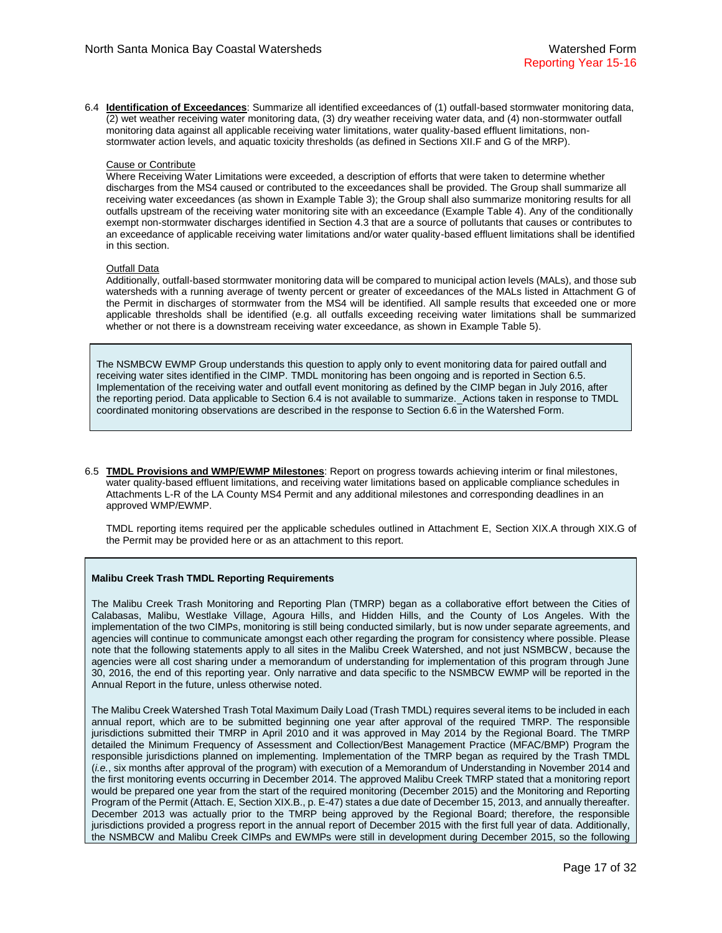6.4 **Identification of Exceedances**: Summarize all identified exceedances of (1) outfall-based stormwater monitoring data, (2) wet weather receiving water monitoring data, (3) dry weather receiving water data, and (4) non-stormwater outfall monitoring data against all applicable receiving water limitations, water quality-based effluent limitations, nonstormwater action levels, and aquatic toxicity thresholds (as defined in Sections XII.F and G of the MRP).

#### Cause or Contribute

Where Receiving Water Limitations were exceeded, a description of efforts that were taken to determine whether discharges from the MS4 caused or contributed to the exceedances shall be provided. The Group shall summarize all receiving water exceedances (as shown in Example Table 3); the Group shall also summarize monitoring results for all outfalls upstream of the receiving water monitoring site with an exceedance (Example Table 4). Any of the conditionally exempt non-stormwater discharges identified in Section 4.3 that are a source of pollutants that causes or contributes to an exceedance of applicable receiving water limitations and/or water quality-based effluent limitations shall be identified in this section.

### Outfall Data

Additionally, outfall-based stormwater monitoring data will be compared to municipal action levels (MALs), and those sub watersheds with a running average of twenty percent or greater of exceedances of the MALs listed in Attachment G of the Permit in discharges of stormwater from the MS4 will be identified. All sample results that exceeded one or more applicable thresholds shall be identified (e.g. all outfalls exceeding receiving water limitations shall be summarized whether or not there is a downstream receiving water exceedance, as shown in Example Table 5).

The NSMBCW EWMP Group understands this question to apply only to event monitoring data for paired outfall and receiving water sites identified in the CIMP. TMDL monitoring has been ongoing and is reported in Section 6.5. Implementation of the receiving water and outfall event monitoring as defined by the CIMP began in July 2016, after the reporting period. Data applicable to Section 6.4 is not available to summarize. Actions taken in response to TMDL coordinated monitoring observations are described in the response to Section 6.6 in the Watershed Form.

6.5 **TMDL Provisions and WMP/EWMP Milestones**: Report on progress towards achieving interim or final milestones, water quality-based effluent limitations, and receiving water limitations based on applicable compliance schedules in Attachments L-R of the LA County MS4 Permit and any additional milestones and corresponding deadlines in an approved WMP/EWMP.

TMDL reporting items required per the applicable schedules outlined in Attachment E, Section XIX.A through XIX.G of the Permit may be provided here or as an attachment to this report.

## **Malibu Creek Trash TMDL Reporting Requirements**

The Malibu Creek Trash Monitoring and Reporting Plan (TMRP) began as a collaborative effort between the Cities of Calabasas, Malibu, Westlake Village, Agoura Hills, and Hidden Hills, and the County of Los Angeles. With the implementation of the two CIMPs, monitoring is still being conducted similarly, but is now under separate agreements, and agencies will continue to communicate amongst each other regarding the program for consistency where possible. Please note that the following statements apply to all sites in the Malibu Creek Watershed, and not just NSMBCW, because the agencies were all cost sharing under a memorandum of understanding for implementation of this program through June 30, 2016, the end of this reporting year. Only narrative and data specific to the NSMBCW EWMP will be reported in the Annual Report in the future, unless otherwise noted.

The Malibu Creek Watershed Trash Total Maximum Daily Load (Trash TMDL) requires several items to be included in each annual report, which are to be submitted beginning one year after approval of the required TMRP. The responsible jurisdictions submitted their TMRP in April 2010 and it was approved in May 2014 by the Regional Board. The TMRP detailed the Minimum Frequency of Assessment and Collection/Best Management Practice (MFAC/BMP) Program the responsible jurisdictions planned on implementing. Implementation of the TMRP began as required by the Trash TMDL (*i.e.*, six months after approval of the program) with execution of a Memorandum of Understanding in November 2014 and the first monitoring events occurring in December 2014. The approved Malibu Creek TMRP stated that a monitoring report would be prepared one year from the start of the required monitoring (December 2015) and the Monitoring and Reporting Program of the Permit (Attach. E, Section XIX.B., p. E-47) states a due date of December 15, 2013, and annually thereafter. December 2013 was actually prior to the TMRP being approved by the Regional Board; therefore, the responsible jurisdictions provided a progress report in the annual report of December 2015 with the first full year of data. Additionally, the NSMBCW and Malibu Creek CIMPs and EWMPs were still in development during December 2015, so the following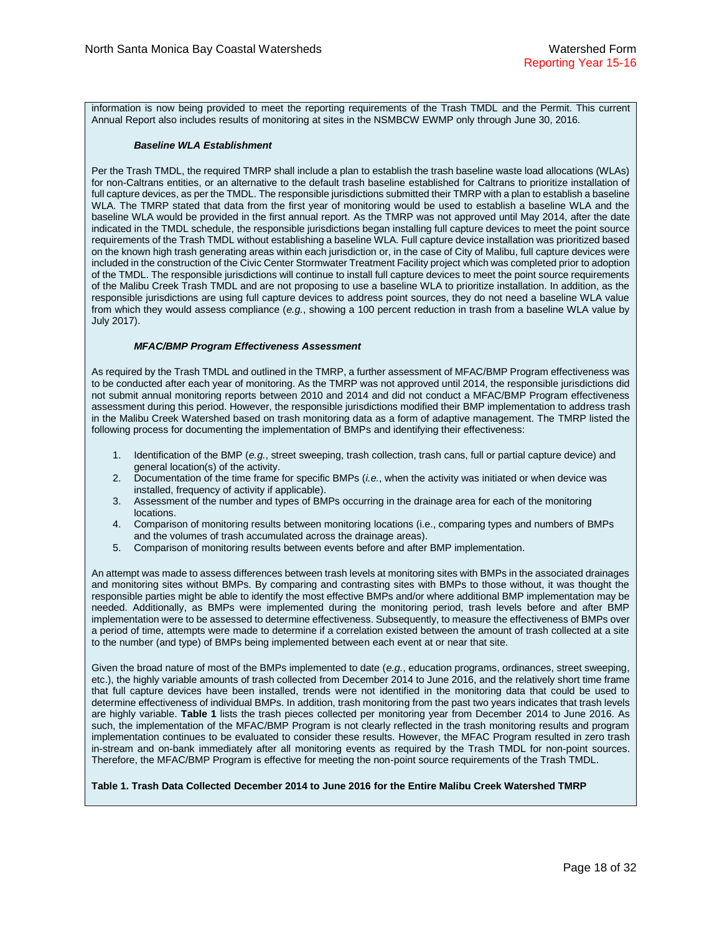information is now being provided to meet the reporting requirements of the Trash TMDL and the Permit. This current Annual Report also includes results of monitoring at sites in the NSMBCW EWMP only through June 30, 2016.

#### *Baseline WLA Establishment*

Per the Trash TMDL, the required TMRP shall include a plan to establish the trash baseline waste load allocations (WLAs) for non-Caltrans entities, or an alternative to the default trash baseline established for Caltrans to prioritize installation of full capture devices, as per the TMDL. The responsible jurisdictions submitted their TMRP with a plan to establish a baseline WLA. The TMRP stated that data from the first year of monitoring would be used to establish a baseline WLA and the baseline WLA would be provided in the first annual report. As the TMRP was not approved until May 2014, after the date indicated in the TMDL schedule, the responsible jurisdictions began installing full capture devices to meet the point source requirements of the Trash TMDL without establishing a baseline WLA. Full capture device installation was prioritized based on the known high trash generating areas within each jurisdiction or, in the case of City of Malibu, full capture devices were included in the construction of the Civic Center Stormwater Treatment Facility project which was completed prior to adoption of the TMDL. The responsible jurisdictions will continue to install full capture devices to meet the point source requirements of the Malibu Creek Trash TMDL and are not proposing to use a baseline WLA to prioritize installation. In addition, as the responsible jurisdictions are using full capture devices to address point sources, they do not need a baseline WLA value from which they would assess compliance (*e.g.*, showing a 100 percent reduction in trash from a baseline WLA value by July 2017).

#### *MFAC/BMP Program Effectiveness Assessment*

As required by the Trash TMDL and outlined in the TMRP, a further assessment of MFAC/BMP Program effectiveness was to be conducted after each year of monitoring. As the TMRP was not approved until 2014, the responsible jurisdictions did not submit annual monitoring reports between 2010 and 2014 and did not conduct a MFAC/BMP Program effectiveness assessment during this period. However, the responsible jurisdictions modified their BMP implementation to address trash in the Malibu Creek Watershed based on trash monitoring data as a form of adaptive management. The TMRP listed the following process for documenting the implementation of BMPs and identifying their effectiveness:

- 1. Identification of the BMP (*e.g.*, street sweeping, trash collection, trash cans, full or partial capture device) and general location(s) of the activity.
- 2. Documentation of the time frame for specific BMPs (*i.e.*, when the activity was initiated or when device was installed, frequency of activity if applicable).
- 3. Assessment of the number and types of BMPs occurring in the drainage area for each of the monitoring locations.
- 4. Comparison of monitoring results between monitoring locations (i.e., comparing types and numbers of BMPs and the volumes of trash accumulated across the drainage areas).
- 5. Comparison of monitoring results between events before and after BMP implementation.

An attempt was made to assess differences between trash levels at monitoring sites with BMPs in the associated drainages and monitoring sites without BMPs. By comparing and contrasting sites with BMPs to those without, it was thought the responsible parties might be able to identify the most effective BMPs and/or where additional BMP implementation may be needed. Additionally, as BMPs were implemented during the monitoring period, trash levels before and after BMP implementation were to be assessed to determine effectiveness. Subsequently, to measure the effectiveness of BMPs over a period of time, attempts were made to determine if a correlation existed between the amount of trash collected at a site to the number (and type) of BMPs being implemented between each event at or near that site.

Given the broad nature of most of the BMPs implemented to date (*e.g.*, education programs, ordinances, street sweeping, etc.), the highly variable amounts of trash collected from December 2014 to June 2016, and the relatively short time frame that full capture devices have been installed, trends were not identified in the monitoring data that could be used to determine effectiveness of individual BMPs. In addition, trash monitoring from the past two years indicates that trash levels are highly variable. **[Table 1](#page-17-0)** lists the trash pieces collected per monitoring year from December 2014 to June 2016. As such, the implementation of the MFAC/BMP Program is not clearly reflected in the trash monitoring results and program implementation continues to be evaluated to consider these results. However, the MFAC Program resulted in zero trash in-stream and on-bank immediately after all monitoring events as required by the Trash TMDL for non-point sources. Therefore, the MFAC/BMP Program is effective for meeting the non-point source requirements of the Trash TMDL.

## <span id="page-17-0"></span>**Table 1. Trash Data Collected December 2014 to June 2016 for the Entire Malibu Creek Watershed TMRP**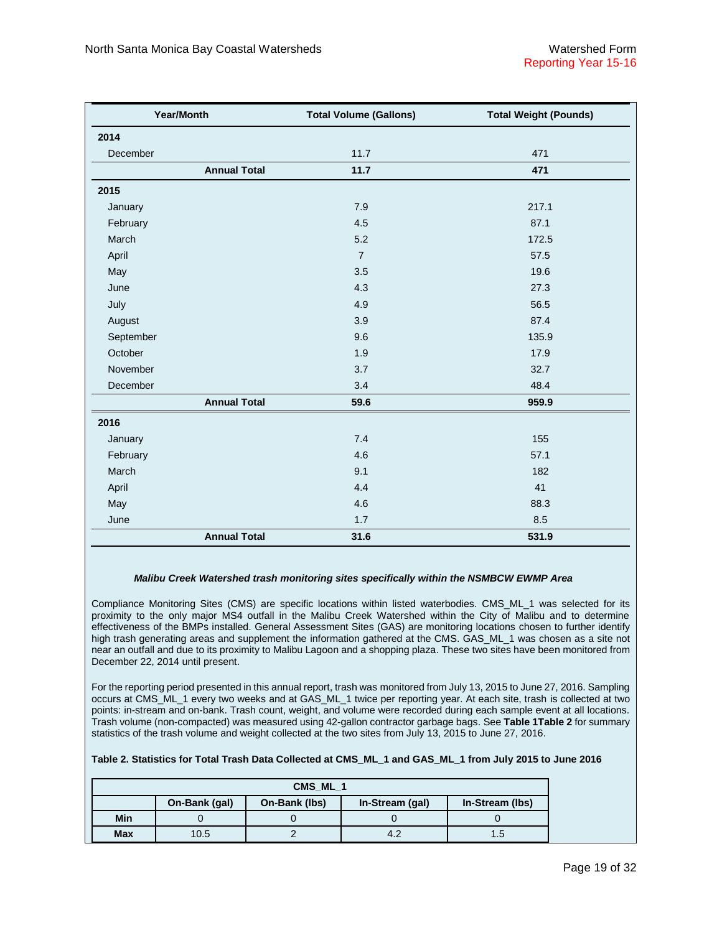| Year/Month          | <b>Total Volume (Gallons)</b> | <b>Total Weight (Pounds)</b> |  |
|---------------------|-------------------------------|------------------------------|--|
| 2014                |                               |                              |  |
| December            | 11.7                          | 471                          |  |
| <b>Annual Total</b> | 11.7                          | 471                          |  |
| 2015                |                               |                              |  |
| January             | 7.9                           | 217.1                        |  |
| February            | 4.5                           | 87.1                         |  |
| March               | 5.2                           | 172.5                        |  |
| April               | $\overline{7}$                | 57.5                         |  |
| May                 | 3.5                           | 19.6                         |  |
| June                | 4.3                           | 27.3                         |  |
| July                | 4.9                           | 56.5                         |  |
| August              | 3.9                           | 87.4                         |  |
| September           | 9.6                           | 135.9                        |  |
| October             | 1.9                           | 17.9                         |  |
| November            | 3.7                           | 32.7                         |  |
| December            | 3.4                           | 48.4                         |  |
| <b>Annual Total</b> | 59.6                          | 959.9                        |  |
| 2016                |                               |                              |  |
| January             | 7.4                           | 155                          |  |
| February            | 4.6                           | 57.1                         |  |
| March               | 9.1                           | 182                          |  |
| April               | 4.4                           | 41                           |  |
| May                 | 4.6                           | 88.3                         |  |
| June                | 1.7                           | 8.5                          |  |
| <b>Annual Total</b> | 31.6                          | 531.9                        |  |

#### *Malibu Creek Watershed trash monitoring sites specifically within the NSMBCW EWMP Area*

Compliance Monitoring Sites (CMS) are specific locations within listed waterbodies. CMS\_ML\_1 was selected for its proximity to the only major MS4 outfall in the Malibu Creek Watershed within the City of Malibu and to determine effectiveness of the BMPs installed. General Assessment Sites (GAS) are monitoring locations chosen to further identify high trash generating areas and supplement the information gathered at the CMS. GAS\_ML\_1 was chosen as a site not near an outfall and due to its proximity to Malibu Lagoon and a shopping plaza. These two sites have been monitored from December 22, 2014 until present.

For the reporting period presented in this annual report, trash was monitored from July 13, 2015 to June 27, 2016. Sampling occurs at CMS\_ML\_1 every two weeks and at GAS\_ML\_1 twice per reporting year. At each site, trash is collected at two points: in-stream and on-bank. Trash count, weight, and volume were recorded during each sample event at all locations. Trash volume (non-compacted) was measured using 42-gallon contractor garbage bags. See **[Table 1Table 2](#page-17-0)** for summary statistics of the trash volume and weight collected at the two sites from July 13, 2015 to June 27, 2016.

#### **Table 2. Statistics for Total Trash Data Collected at CMS\_ML\_1 and GAS\_ML\_1 from July 2015 to June 2016**

| CMS ML 1   |               |               |                 |                 |  |
|------------|---------------|---------------|-----------------|-----------------|--|
|            | On-Bank (gal) | On-Bank (lbs) | In-Stream (gal) | In-Stream (lbs) |  |
| Min        |               |               |                 |                 |  |
| <b>Max</b> | 10.5          |               |                 | 1.5             |  |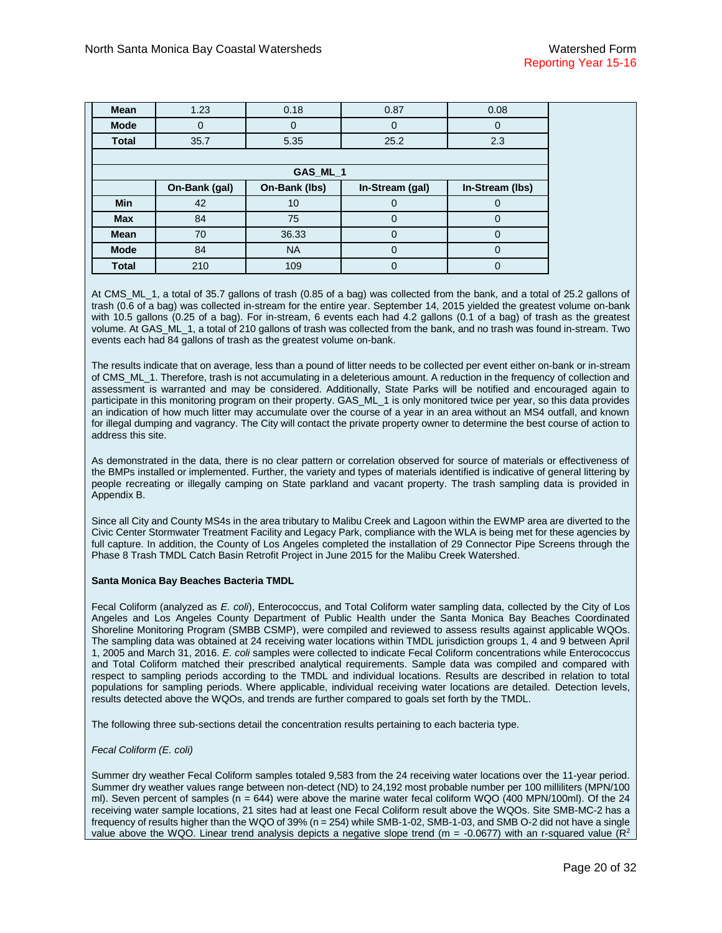| <b>Mean</b>  | 1.23          | 0.18          | 0.87            | 0.08            |  |  |
|--------------|---------------|---------------|-----------------|-----------------|--|--|
| <b>Mode</b>  | 0             | 0             |                 |                 |  |  |
| <b>Total</b> | 35.7          | 5.35          | 25.2            | 2.3             |  |  |
|              |               |               |                 |                 |  |  |
|              | GAS_ML_1      |               |                 |                 |  |  |
|              | On-Bank (gal) | On-Bank (lbs) | In-Stream (gal) | In-Stream (lbs) |  |  |
| <b>Min</b>   | 42            | 10            |                 |                 |  |  |
| <b>Max</b>   | 84            | 75            | $\Omega$        |                 |  |  |
| Mean         | 70            | 36.33         |                 |                 |  |  |
| <b>Mode</b>  | 84            | <b>NA</b>     | $\Omega$        | 0               |  |  |
| <b>Total</b> | 210           | 109           | C               |                 |  |  |

At CMS\_ML\_1, a total of 35.7 gallons of trash (0.85 of a bag) was collected from the bank, and a total of 25.2 gallons of trash (0.6 of a bag) was collected in-stream for the entire year. September 14, 2015 yielded the greatest volume on-bank with 10.5 gallons (0.25 of a bag). For in-stream, 6 events each had 4.2 gallons (0.1 of a bag) of trash as the greatest volume. At GAS\_ML\_1, a total of 210 gallons of trash was collected from the bank, and no trash was found in-stream. Two events each had 84 gallons of trash as the greatest volume on-bank.

The results indicate that on average, less than a pound of litter needs to be collected per event either on-bank or in-stream of CMS\_ML\_1. Therefore, trash is not accumulating in a deleterious amount. A reduction in the frequency of collection and assessment is warranted and may be considered. Additionally, State Parks will be notified and encouraged again to participate in this monitoring program on their property. GAS\_ML\_1 is only monitored twice per year, so this data provides an indication of how much litter may accumulate over the course of a year in an area without an MS4 outfall, and known for illegal dumping and vagrancy. The City will contact the private property owner to determine the best course of action to address this site.

As demonstrated in the data, there is no clear pattern or correlation observed for source of materials or effectiveness of the BMPs installed or implemented. Further, the variety and types of materials identified is indicative of general littering by people recreating or illegally camping on State parkland and vacant property. The trash sampling data is provided in Appendix B.

Since all City and County MS4s in the area tributary to Malibu Creek and Lagoon within the EWMP area are diverted to the Civic Center Stormwater Treatment Facility and Legacy Park, compliance with the WLA is being met for these agencies by full capture. In addition, the County of Los Angeles completed the installation of 29 Connector Pipe Screens through the Phase 8 Trash TMDL Catch Basin Retrofit Project in June 2015 for the Malibu Creek Watershed.

#### **Santa Monica Bay Beaches Bacteria TMDL**

Fecal Coliform (analyzed as *E. coli*), Enterococcus, and Total Coliform water sampling data, collected by the City of Los Angeles and Los Angeles County Department of Public Health under the Santa Monica Bay Beaches Coordinated Shoreline Monitoring Program (SMBB CSMP), were compiled and reviewed to assess results against applicable WQOs. The sampling data was obtained at 24 receiving water locations within TMDL jurisdiction groups 1, 4 and 9 between April 1, 2005 and March 31, 2016. *E. coli* samples were collected to indicate Fecal Coliform concentrations while Enterococcus and Total Coliform matched their prescribed analytical requirements. Sample data was compiled and compared with respect to sampling periods according to the TMDL and individual locations. Results are described in relation to total populations for sampling periods. Where applicable, individual receiving water locations are detailed. Detection levels, results detected above the WQOs, and trends are further compared to goals set forth by the TMDL.

The following three sub-sections detail the concentration results pertaining to each bacteria type.

#### *Fecal Coliform (E. coli)*

Summer dry weather Fecal Coliform samples totaled 9,583 from the 24 receiving water locations over the 11-year period. Summer dry weather values range between non-detect (ND) to 24,192 most probable number per 100 milliliters (MPN/100 ml). Seven percent of samples ( $n = 644$ ) were above the marine water fecal coliform WQO (400 MPN/100ml). Of the 24 receiving water sample locations, 21 sites had at least one Fecal Coliform result above the WQOs. Site SMB-MC-2 has a frequency of results higher than the WQO of 39% (n = 254) while SMB-1-02, SMB-1-03, and SMB O-2 did not have a single value above the WQO. Linear trend analysis depicts a negative slope trend ( $m = -0.0677$ ) with an r-squared value ( $R^2$ )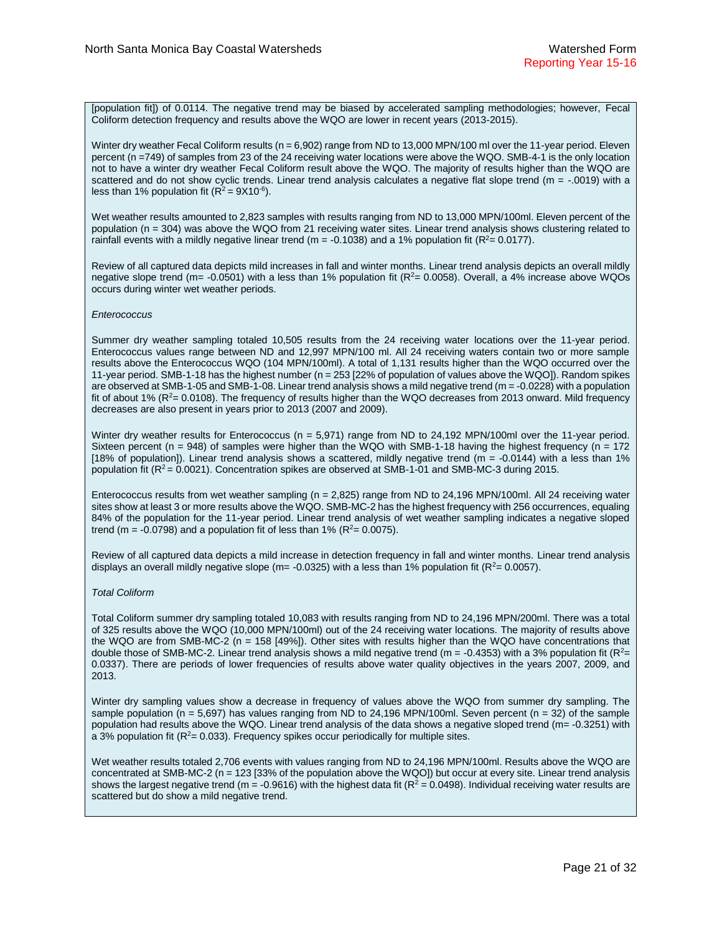[population fit]) of 0.0114. The negative trend may be biased by accelerated sampling methodologies; however, Fecal Coliform detection frequency and results above the WQO are lower in recent years (2013-2015).

Winter dry weather Fecal Coliform results (n = 6,902) range from ND to 13,000 MPN/100 ml over the 11-year period. Eleven percent (n =749) of samples from 23 of the 24 receiving water locations were above the WQO. SMB-4-1 is the only location not to have a winter dry weather Fecal Coliform result above the WQO. The majority of results higher than the WQO are scattered and do not show cyclic trends. Linear trend analysis calculates a negative flat slope trend (m = -.0019) with a less than 1% population fit  $(R^2 = 9X10^{-6})$ .

Wet weather results amounted to 2,823 samples with results ranging from ND to 13,000 MPN/100ml. Eleven percent of the population (n = 304) was above the WQO from 21 receiving water sites. Linear trend analysis shows clustering related to rainfall events with a mildly negative linear trend (m = -0.1038) and a 1% population fit ( $R^2$  = 0.0177).

Review of all captured data depicts mild increases in fall and winter months. Linear trend analysis depicts an overall mildly negative slope trend (m= -0.0501) with a less than 1% population fit ( $R^2$ = 0.0058). Overall, a 4% increase above WQOs occurs during winter wet weather periods.

#### *Enterococcus*

Summer dry weather sampling totaled 10,505 results from the 24 receiving water locations over the 11-year period. Enterococcus values range between ND and 12,997 MPN/100 ml. All 24 receiving waters contain two or more sample results above the Enterococcus WQO (104 MPN/100ml). A total of 1,131 results higher than the WQO occurred over the 11-year period. SMB-1-18 has the highest number (n = 253 [22% of population of values above the WQO]). Random spikes are observed at SMB-1-05 and SMB-1-08. Linear trend analysis shows a mild negative trend (m = -0.0228) with a population fit of about 1%  $(R^2 = 0.0108)$ . The frequency of results higher than the WQO decreases from 2013 onward. Mild frequency decreases are also present in years prior to 2013 (2007 and 2009).

Winter dry weather results for Enterococcus (n = 5,971) range from ND to 24,192 MPN/100ml over the 11-year period. Sixteen percent ( $n = 948$ ) of samples were higher than the WQO with SMB-1-18 having the highest frequency ( $n = 172$ ) [18% of population]). Linear trend analysis shows a scattered, mildly negative trend ( $m = -0.0144$ ) with a less than 1% population fit ( $R^2$  = 0.0021). Concentration spikes are observed at SMB-1-01 and SMB-MC-3 during 2015.

Enterococcus results from wet weather sampling ( $n = 2,825$ ) range from ND to 24,196 MPN/100ml. All 24 receiving water sites show at least 3 or more results above the WQO. SMB-MC-2 has the highest frequency with 256 occurrences, equaling 84% of the population for the 11-year period. Linear trend analysis of wet weather sampling indicates a negative sloped trend (m = -0.0798) and a population fit of less than 1% ( $R^2$  = 0.0075).

Review of all captured data depicts a mild increase in detection frequency in fall and winter months. Linear trend analysis displays an overall mildly negative slope (m= -0.0325) with a less than 1% population fit ( $R^2$  = 0.0057).

#### *Total Coliform*

Total Coliform summer dry sampling totaled 10,083 with results ranging from ND to 24,196 MPN/200ml. There was a total of 325 results above the WQO (10,000 MPN/100ml) out of the 24 receiving water locations. The majority of results above the WQO are from SMB-MC-2 (n = 158 [49%]). Other sites with results higher than the WQO have concentrations that double those of SMB-MC-2. Linear trend analysis shows a mild negative trend ( $m = -0.4353$ ) with a 3% population fit ( $R<sup>2</sup>$ = 0.0337). There are periods of lower frequencies of results above water quality objectives in the years 2007, 2009, and 2013.

Winter dry sampling values show a decrease in frequency of values above the WQO from summer dry sampling. The sample population ( $n = 5,697$ ) has values ranging from ND to 24,196 MPN/100ml. Seven percent ( $n = 32$ ) of the sample population had results above the WQO. Linear trend analysis of the data shows a negative sloped trend (m= -0.3251) with a 3% population fit ( $R^2$ = 0.033). Frequency spikes occur periodically for multiple sites.

Wet weather results totaled 2,706 events with values ranging from ND to 24,196 MPN/100ml. Results above the WQO are concentrated at SMB-MC-2 (n = 123 [33% of the population above the WQO]) but occur at every site. Linear trend analysis shows the largest negative trend (m = -0.9616) with the highest data fit ( $R^2$  = 0.0498). Individual receiving water results are scattered but do show a mild negative trend.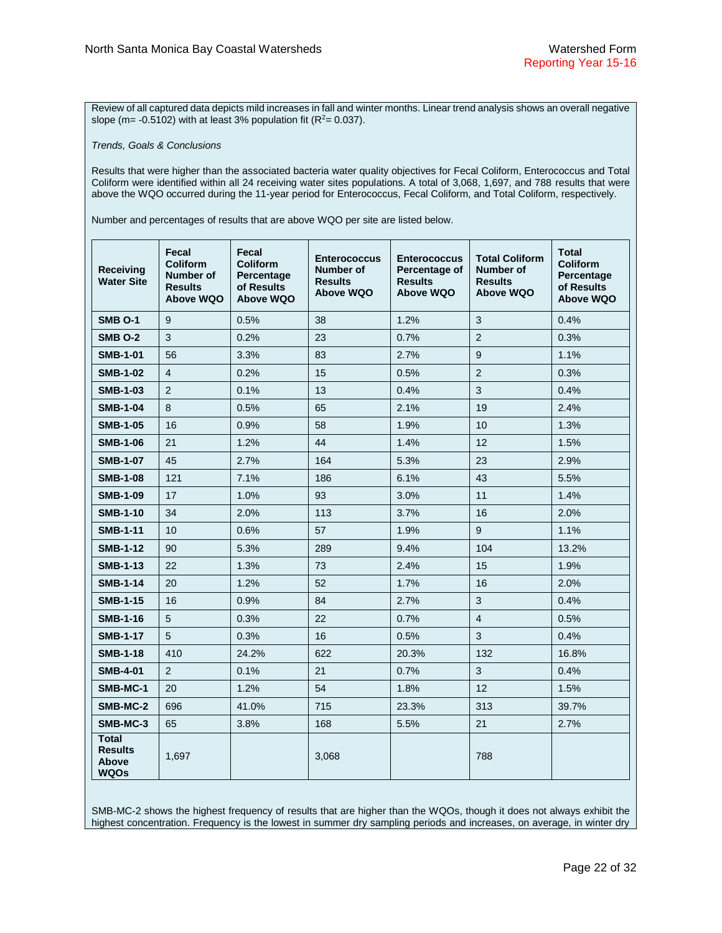Review of all captured data depicts mild increases in fall and winter months. Linear trend analysis shows an overall negative slope (m= -0.5102) with at least 3% population fit ( $R^2$ = 0.037).

*Trends, Goals & Conclusions* 

Results that were higher than the associated bacteria water quality objectives for Fecal Coliform, Enterococcus and Total Coliform were identified within all 24 receiving water sites populations. A total of 3,068, 1,697, and 788 results that were above the WQO occurred during the 11-year period for Enterococcus, Fecal Coliform, and Total Coliform, respectively.

Number and percentages of results that are above WQO per site are listed below.

| <b>Receiving</b><br><b>Water Site</b>           | Fecal<br><b>Coliform</b><br><b>Number of</b><br><b>Results</b><br>Above WQO | Fecal<br><b>Coliform</b><br>Percentage<br>of Results<br>Above WQO | <b>Enterococcus</b><br>Number of<br><b>Results</b><br><b>Above WQO</b> | <b>Enterococcus</b><br>Percentage of<br><b>Results</b><br><b>Above WQO</b> | <b>Total Coliform</b><br>Number of<br><b>Results</b><br><b>Above WQO</b> | <b>Total</b><br><b>Coliform</b><br>Percentage<br>of Results<br>Above WQO |
|-------------------------------------------------|-----------------------------------------------------------------------------|-------------------------------------------------------------------|------------------------------------------------------------------------|----------------------------------------------------------------------------|--------------------------------------------------------------------------|--------------------------------------------------------------------------|
| <b>SMB O-1</b>                                  | 9                                                                           | 0.5%                                                              | 38                                                                     | 1.2%                                                                       | $\mathbf{3}$                                                             | 0.4%                                                                     |
| <b>SMB 0-2</b>                                  | 3                                                                           | 0.2%                                                              | 23                                                                     | 0.7%                                                                       | 2                                                                        | 0.3%                                                                     |
| <b>SMB-1-01</b>                                 | 56                                                                          | 3.3%                                                              | 83                                                                     | 2.7%                                                                       | 9                                                                        | 1.1%                                                                     |
| <b>SMB-1-02</b>                                 | $\overline{4}$                                                              | 0.2%                                                              | 15                                                                     | 0.5%                                                                       | $\overline{2}$                                                           | 0.3%                                                                     |
| <b>SMB-1-03</b>                                 | 2                                                                           | 0.1%                                                              | 13                                                                     | 0.4%                                                                       | 3                                                                        | 0.4%                                                                     |
| <b>SMB-1-04</b>                                 | 8                                                                           | 0.5%                                                              | 65                                                                     | 2.1%                                                                       | 19                                                                       | 2.4%                                                                     |
| <b>SMB-1-05</b>                                 | 16                                                                          | 0.9%                                                              | 58                                                                     | 1.9%                                                                       | 10                                                                       | 1.3%                                                                     |
| <b>SMB-1-06</b>                                 | 21                                                                          | 1.2%                                                              | 44                                                                     | 1.4%                                                                       | 12                                                                       | 1.5%                                                                     |
| <b>SMB-1-07</b>                                 | 45                                                                          | 2.7%                                                              | 164                                                                    | 5.3%                                                                       | 23                                                                       | 2.9%                                                                     |
| <b>SMB-1-08</b>                                 | 121                                                                         | 7.1%                                                              | 186                                                                    | 6.1%                                                                       | 43                                                                       | 5.5%                                                                     |
| <b>SMB-1-09</b>                                 | 17                                                                          | 1.0%                                                              | 93                                                                     | 3.0%                                                                       | 11                                                                       | 1.4%                                                                     |
| <b>SMB-1-10</b>                                 | 34                                                                          | 2.0%                                                              | 113                                                                    | 3.7%                                                                       | 16                                                                       | 2.0%                                                                     |
| <b>SMB-1-11</b>                                 | 10                                                                          | 0.6%                                                              | 57                                                                     | 1.9%                                                                       | 9                                                                        | 1.1%                                                                     |
| <b>SMB-1-12</b>                                 | 90                                                                          | 5.3%                                                              | 289                                                                    | 9.4%                                                                       | 104                                                                      | 13.2%                                                                    |
| <b>SMB-1-13</b>                                 | 22                                                                          | 1.3%                                                              | 73                                                                     | 2.4%                                                                       | 15                                                                       | 1.9%                                                                     |
| <b>SMB-1-14</b>                                 | 20                                                                          | 1.2%                                                              | 52                                                                     | 1.7%                                                                       | 16                                                                       | 2.0%                                                                     |
| <b>SMB-1-15</b>                                 | 16                                                                          | 0.9%                                                              | 84                                                                     | 2.7%                                                                       | $\mathbf{3}$                                                             | 0.4%                                                                     |
| <b>SMB-1-16</b>                                 | 5                                                                           | 0.3%                                                              | 22                                                                     | 0.7%                                                                       | $\overline{4}$                                                           | 0.5%                                                                     |
| <b>SMB-1-17</b>                                 | 5                                                                           | 0.3%                                                              | 16                                                                     | 0.5%                                                                       | 3                                                                        | 0.4%                                                                     |
| <b>SMB-1-18</b>                                 | 410                                                                         | 24.2%                                                             | 622                                                                    | 20.3%                                                                      | 132                                                                      | 16.8%                                                                    |
| <b>SMB-4-01</b>                                 | $\overline{2}$                                                              | 0.1%                                                              | 21                                                                     | 0.7%                                                                       | $\mathbf{3}$                                                             | 0.4%                                                                     |
| SMB-MC-1                                        | 20                                                                          | 1.2%                                                              | 54                                                                     | 1.8%                                                                       | 12                                                                       | 1.5%                                                                     |
| SMB-MC-2                                        | 696                                                                         | 41.0%                                                             | 715                                                                    | 23.3%                                                                      | 313                                                                      | 39.7%                                                                    |
| SMB-MC-3                                        | 65                                                                          | 3.8%                                                              | 168                                                                    | 5.5%                                                                       | 21                                                                       | 2.7%                                                                     |
| <b>Total</b><br><b>Results</b><br>Above<br>WQOs | 1,697                                                                       |                                                                   | 3,068                                                                  |                                                                            | 788                                                                      |                                                                          |

SMB-MC-2 shows the highest frequency of results that are higher than the WQOs, though it does not always exhibit the highest concentration. Frequency is the lowest in summer dry sampling periods and increases, on average, in winter dry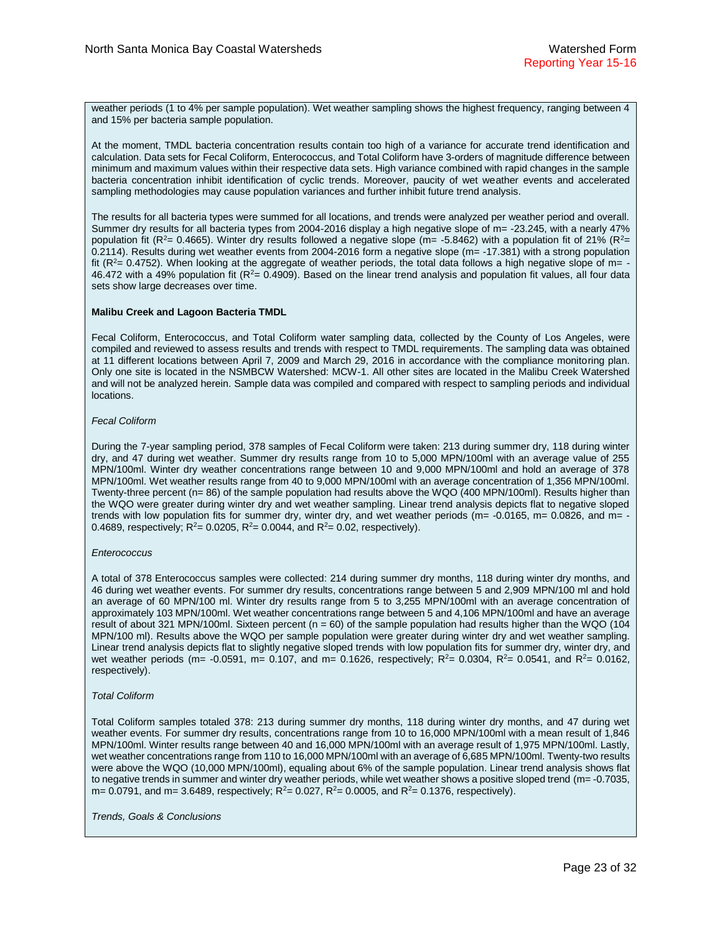weather periods (1 to 4% per sample population). Wet weather sampling shows the highest frequency, ranging between 4 and 15% per bacteria sample population.

At the moment, TMDL bacteria concentration results contain too high of a variance for accurate trend identification and calculation. Data sets for Fecal Coliform, Enterococcus, and Total Coliform have 3-orders of magnitude difference between minimum and maximum values within their respective data sets. High variance combined with rapid changes in the sample bacteria concentration inhibit identification of cyclic trends. Moreover, paucity of wet weather events and accelerated sampling methodologies may cause population variances and further inhibit future trend analysis.

The results for all bacteria types were summed for all locations, and trends were analyzed per weather period and overall. Summer dry results for all bacteria types from 2004-2016 display a high negative slope of m= -23.245, with a nearly 47% population fit ( $R^2$ = 0.4665). Winter dry results followed a negative slope ( $m$ = -5.8462) with a population fit of 21% ( $R^2$ = 0.2114). Results during wet weather events from 2004-2016 form a negative slope (m= -17.381) with a strong population fit ( $R<sup>2</sup>= 0.4752$ ). When looking at the aggregate of weather periods, the total data follows a high negative slope of m= -46.472 with a 49% population fit  $(R^2 = 0.4909)$ . Based on the linear trend analysis and population fit values, all four data sets show large decreases over time.

#### **Malibu Creek and Lagoon Bacteria TMDL**

Fecal Coliform, Enterococcus, and Total Coliform water sampling data, collected by the County of Los Angeles, were compiled and reviewed to assess results and trends with respect to TMDL requirements. The sampling data was obtained at 11 different locations between April 7, 2009 and March 29, 2016 in accordance with the compliance monitoring plan. Only one site is located in the NSMBCW Watershed: MCW-1. All other sites are located in the Malibu Creek Watershed and will not be analyzed herein. Sample data was compiled and compared with respect to sampling periods and individual locations.

#### *Fecal Coliform*

During the 7-year sampling period, 378 samples of Fecal Coliform were taken: 213 during summer dry, 118 during winter dry, and 47 during wet weather. Summer dry results range from 10 to 5,000 MPN/100ml with an average value of 255 MPN/100ml. Winter dry weather concentrations range between 10 and 9,000 MPN/100ml and hold an average of 378 MPN/100ml. Wet weather results range from 40 to 9,000 MPN/100ml with an average concentration of 1,356 MPN/100ml. Twenty-three percent (n= 86) of the sample population had results above the WQO (400 MPN/100ml). Results higher than the WQO were greater during winter dry and wet weather sampling. Linear trend analysis depicts flat to negative sloped trends with low population fits for summer dry, winter dry, and wet weather periods ( $m = -0.0165$ ,  $m = 0.0826$ , and  $m = -1$ 0.4689, respectively;  $R^2 = 0.0205$ ,  $R^2 = 0.0044$ , and  $R^2 = 0.02$ , respectively).

#### *Enterococcus*

A total of 378 Enterococcus samples were collected: 214 during summer dry months, 118 during winter dry months, and 46 during wet weather events. For summer dry results, concentrations range between 5 and 2,909 MPN/100 ml and hold an average of 60 MPN/100 ml. Winter dry results range from 5 to 3,255 MPN/100ml with an average concentration of approximately 103 MPN/100ml. Wet weather concentrations range between 5 and 4,106 MPN/100ml and have an average result of about 321 MPN/100ml. Sixteen percent ( $n = 60$ ) of the sample population had results higher than the WQO (104 MPN/100 ml). Results above the WQO per sample population were greater during winter dry and wet weather sampling. Linear trend analysis depicts flat to slightly negative sloped trends with low population fits for summer dry, winter dry, and wet weather periods (m= -0.0591, m= 0.107, and m= 0.1626, respectively;  $R^2 = 0.0304$ ,  $R^2 = 0.0541$ , and  $R^2 = 0.0162$ , respectively).

#### *Total Coliform*

Total Coliform samples totaled 378: 213 during summer dry months, 118 during winter dry months, and 47 during wet weather events. For summer dry results, concentrations range from 10 to 16,000 MPN/100ml with a mean result of 1,846 MPN/100ml. Winter results range between 40 and 16,000 MPN/100ml with an average result of 1,975 MPN/100ml. Lastly, wet weather concentrations range from 110 to 16,000 MPN/100ml with an average of 6,685 MPN/100ml. Twenty-two results were above the WQO (10,000 MPN/100ml), equaling about 6% of the sample population. Linear trend analysis shows flat to negative trends in summer and winter dry weather periods, while wet weather shows a positive sloped trend (m= -0.7035, m= 0.0791, and m= 3.6489, respectively;  $R^2$ = 0.027,  $R^2$ = 0.0005, and  $R^2$ = 0.1376, respectively).

*Trends, Goals & Conclusions*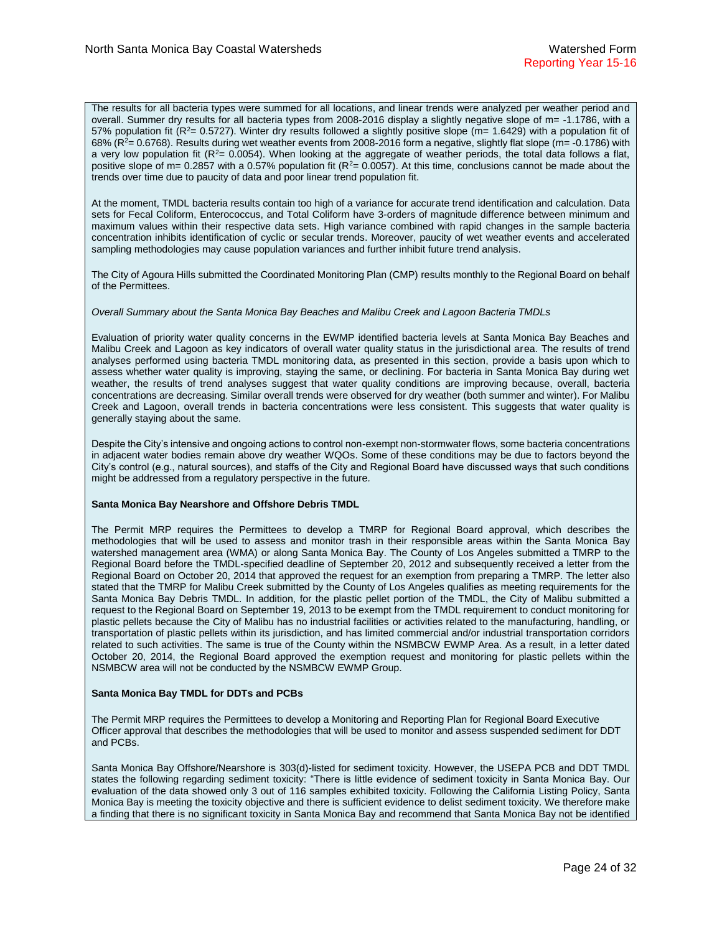The results for all bacteria types were summed for all locations, and linear trends were analyzed per weather period and overall. Summer dry results for all bacteria types from 2008-2016 display a slightly negative slope of m= -1.1786, with a 57% population fit ( $R^2$ = 0.5727). Winter dry results followed a slightly positive slope ( $m$ = 1.6429) with a population fit of  $68\%$  ( $R^2$  = 0.6768). Results during wet weather events from 2008-2016 form a negative, slightly flat slope (m = -0.1786) with a very low population fit  $(R<sup>2</sup>= 0.0054)$ . When looking at the aggregate of weather periods, the total data follows a flat, positive slope of m= 0.2857 with a 0.57% population fit ( $R^2$ = 0.0057). At this time, conclusions cannot be made about the trends over time due to paucity of data and poor linear trend population fit.

At the moment, TMDL bacteria results contain too high of a variance for accurate trend identification and calculation. Data sets for Fecal Coliform, Enterococcus, and Total Coliform have 3-orders of magnitude difference between minimum and maximum values within their respective data sets. High variance combined with rapid changes in the sample bacteria concentration inhibits identification of cyclic or secular trends. Moreover, paucity of wet weather events and accelerated sampling methodologies may cause population variances and further inhibit future trend analysis.

The City of Agoura Hills submitted the Coordinated Monitoring Plan (CMP) results monthly to the Regional Board on behalf of the Permittees.

#### *Overall Summary about the Santa Monica Bay Beaches and Malibu Creek and Lagoon Bacteria TMDLs*

Evaluation of priority water quality concerns in the EWMP identified bacteria levels at Santa Monica Bay Beaches and Malibu Creek and Lagoon as key indicators of overall water quality status in the jurisdictional area. The results of trend analyses performed using bacteria TMDL monitoring data, as presented in this section, provide a basis upon which to assess whether water quality is improving, staying the same, or declining. For bacteria in Santa Monica Bay during wet weather, the results of trend analyses suggest that water quality conditions are improving because, overall, bacteria concentrations are decreasing. Similar overall trends were observed for dry weather (both summer and winter). For Malibu Creek and Lagoon, overall trends in bacteria concentrations were less consistent. This suggests that water quality is generally staying about the same.

Despite the City's intensive and ongoing actions to control non-exempt non-stormwater flows, some bacteria concentrations in adjacent water bodies remain above dry weather WQOs. Some of these conditions may be due to factors beyond the City's control (e.g., natural sources), and staffs of the City and Regional Board have discussed ways that such conditions might be addressed from a regulatory perspective in the future*.*

#### **Santa Monica Bay Nearshore and Offshore Debris TMDL**

The Permit MRP requires the Permittees to develop a TMRP for Regional Board approval, which describes the methodologies that will be used to assess and monitor trash in their responsible areas within the Santa Monica Bay watershed management area (WMA) or along Santa Monica Bay. The County of Los Angeles submitted a TMRP to the Regional Board before the TMDL-specified deadline of September 20, 2012 and subsequently received a letter from the Regional Board on October 20, 2014 that approved the request for an exemption from preparing a TMRP. The letter also stated that the TMRP for Malibu Creek submitted by the County of Los Angeles qualifies as meeting requirements for the Santa Monica Bay Debris TMDL. In addition, for the plastic pellet portion of the TMDL, the City of Malibu submitted a request to the Regional Board on September 19, 2013 to be exempt from the TMDL requirement to conduct monitoring for plastic pellets because the City of Malibu has no industrial facilities or activities related to the manufacturing, handling, or transportation of plastic pellets within its jurisdiction, and has limited commercial and/or industrial transportation corridors related to such activities. The same is true of the County within the NSMBCW EWMP Area. As a result, in a letter dated October 20, 2014, the Regional Board approved the exemption request and monitoring for plastic pellets within the NSMBCW area will not be conducted by the NSMBCW EWMP Group.

#### **Santa Monica Bay TMDL for DDTs and PCBs**

The Permit MRP requires the Permittees to develop a Monitoring and Reporting Plan for Regional Board Executive Officer approval that describes the methodologies that will be used to monitor and assess suspended sediment for DDT and PCBs.

Santa Monica Bay Offshore/Nearshore is 303(d)-listed for sediment toxicity. However, the USEPA PCB and DDT TMDL states the following regarding sediment toxicity: "There is little evidence of sediment toxicity in Santa Monica Bay. Our evaluation of the data showed only 3 out of 116 samples exhibited toxicity. Following the California Listing Policy, Santa Monica Bay is meeting the toxicity objective and there is sufficient evidence to delist sediment toxicity. We therefore make a finding that there is no significant toxicity in Santa Monica Bay and recommend that Santa Monica Bay not be identified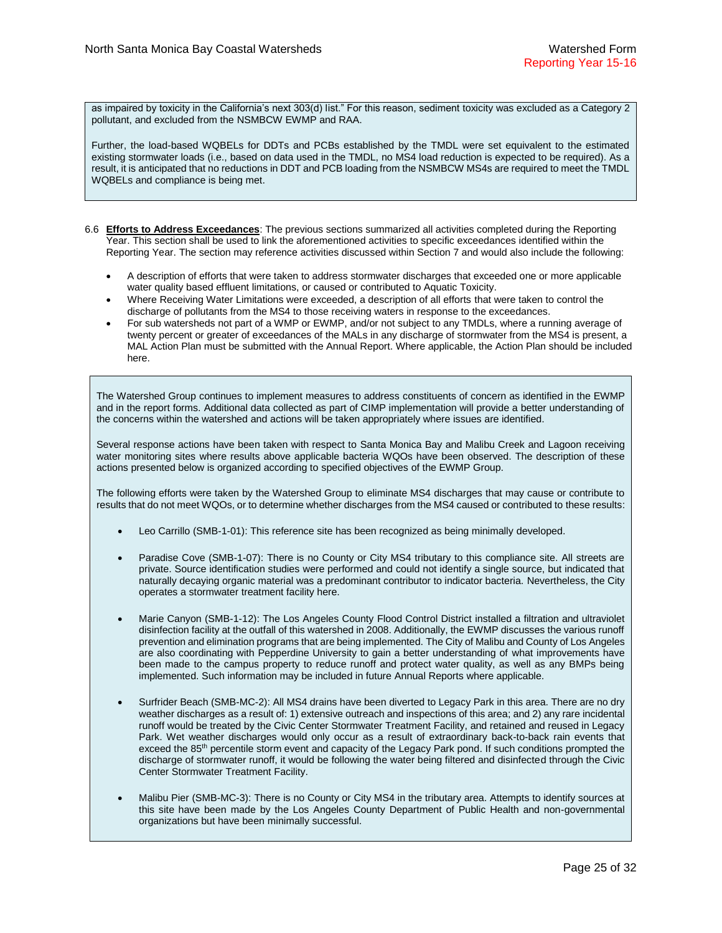as impaired by toxicity in the California's next 303(d) list." For this reason, sediment toxicity was excluded as a Category 2 pollutant, and excluded from the NSMBCW EWMP and RAA.

Further, the load-based WQBELs for DDTs and PCBs established by the TMDL were set equivalent to the estimated existing stormwater loads (i.e., based on data used in the TMDL, no MS4 load reduction is expected to be required). As a result, it is anticipated that no reductions in DDT and PCB loading from the NSMBCW MS4s are required to meet the TMDL WQBELs and compliance is being met.

- 6.6 **Efforts to Address Exceedances**: The previous sections summarized all activities completed during the Reporting Year. This section shall be used to link the aforementioned activities to specific exceedances identified within the Reporting Year. The section may reference activities discussed within Section 7 and would also include the following:
	- A description of efforts that were taken to address stormwater discharges that exceeded one or more applicable water quality based effluent limitations, or caused or contributed to Aquatic Toxicity.
	- Where Receiving Water Limitations were exceeded, a description of all efforts that were taken to control the discharge of pollutants from the MS4 to those receiving waters in response to the exceedances.
	- For sub watersheds not part of a WMP or EWMP, and/or not subject to any TMDLs, where a running average of twenty percent or greater of exceedances of the MALs in any discharge of stormwater from the MS4 is present, a MAL Action Plan must be submitted with the Annual Report. Where applicable, the Action Plan should be included here.

The Watershed Group continues to implement measures to address constituents of concern as identified in the EWMP and in the report forms. Additional data collected as part of CIMP implementation will provide a better understanding of the concerns within the watershed and actions will be taken appropriately where issues are identified.

Several response actions have been taken with respect to Santa Monica Bay and Malibu Creek and Lagoon receiving water monitoring sites where results above applicable bacteria WQOs have been observed. The description of these actions presented below is organized according to specified objectives of the EWMP Group.

The following efforts were taken by the Watershed Group to eliminate MS4 discharges that may cause or contribute to results that do not meet WQOs, or to determine whether discharges from the MS4 caused or contributed to these results:

- Leo Carrillo (SMB-1-01): This reference site has been recognized as being minimally developed.
- Paradise Cove (SMB-1-07): There is no County or City MS4 tributary to this compliance site. All streets are private. Source identification studies were performed and could not identify a single source, but indicated that naturally decaying organic material was a predominant contributor to indicator bacteria. Nevertheless, the City operates a stormwater treatment facility here.
- Marie Canyon (SMB-1-12): The Los Angeles County Flood Control District installed a filtration and ultraviolet disinfection facility at the outfall of this watershed in 2008. Additionally, the EWMP discusses the various runoff prevention and elimination programs that are being implemented. The City of Malibu and County of Los Angeles are also coordinating with Pepperdine University to gain a better understanding of what improvements have been made to the campus property to reduce runoff and protect water quality, as well as any BMPs being implemented. Such information may be included in future Annual Reports where applicable.
- Surfrider Beach (SMB-MC-2): All MS4 drains have been diverted to Legacy Park in this area. There are no dry weather discharges as a result of: 1) extensive outreach and inspections of this area; and 2) any rare incidental runoff would be treated by the Civic Center Stormwater Treatment Facility, and retained and reused in Legacy Park. Wet weather discharges would only occur as a result of extraordinary back-to-back rain events that exceed the 85<sup>th</sup> percentile storm event and capacity of the Legacy Park pond. If such conditions prompted the discharge of stormwater runoff, it would be following the water being filtered and disinfected through the Civic Center Stormwater Treatment Facility.
- Malibu Pier (SMB-MC-3): There is no County or City MS4 in the tributary area. Attempts to identify sources at this site have been made by the Los Angeles County Department of Public Health and non-governmental organizations but have been minimally successful.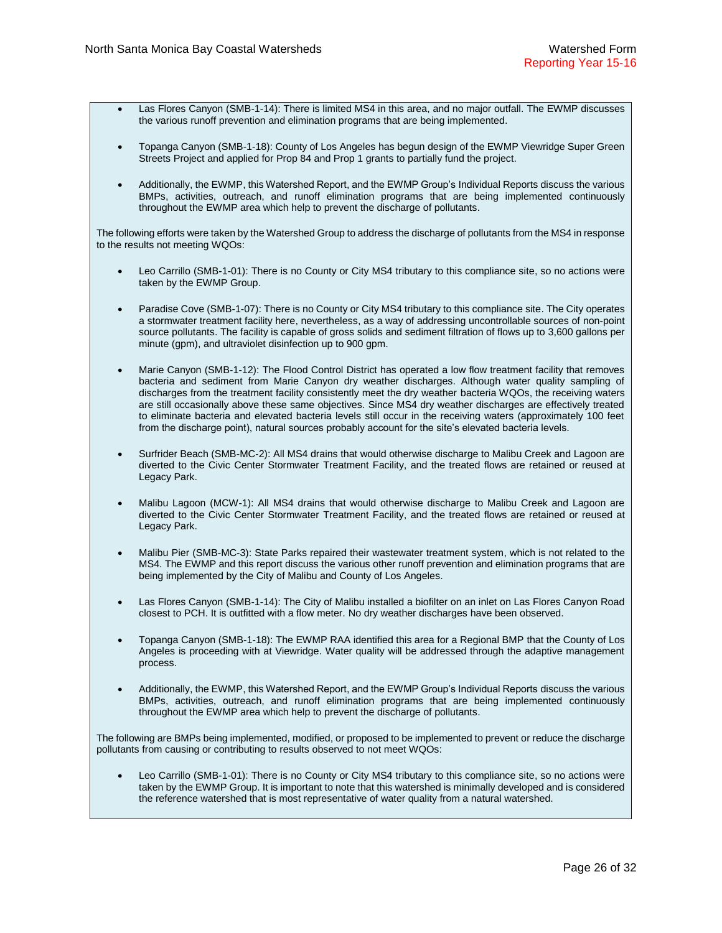- Las Flores Canyon (SMB-1-14): There is limited MS4 in this area, and no major outfall. The EWMP discusses the various runoff prevention and elimination programs that are being implemented.
- Topanga Canyon (SMB-1-18): County of Los Angeles has begun design of the EWMP Viewridge Super Green Streets Project and applied for Prop 84 and Prop 1 grants to partially fund the project.
- Additionally, the EWMP, this Watershed Report, and the EWMP Group's Individual Reports discuss the various BMPs, activities, outreach, and runoff elimination programs that are being implemented continuously throughout the EWMP area which help to prevent the discharge of pollutants.

The following efforts were taken by the Watershed Group to address the discharge of pollutants from the MS4 in response to the results not meeting WQOs:

- Leo Carrillo (SMB-1-01): There is no County or City MS4 tributary to this compliance site, so no actions were taken by the EWMP Group.
- Paradise Cove (SMB-1-07): There is no County or City MS4 tributary to this compliance site. The City operates a stormwater treatment facility here, nevertheless, as a way of addressing uncontrollable sources of non-point source pollutants. The facility is capable of gross solids and sediment filtration of flows up to 3,600 gallons per minute (gpm), and ultraviolet disinfection up to 900 gpm.
- Marie Canyon (SMB-1-12): The Flood Control District has operated a low flow treatment facility that removes bacteria and sediment from Marie Canyon dry weather discharges. Although water quality sampling of discharges from the treatment facility consistently meet the dry weather bacteria WQOs, the receiving waters are still occasionally above these same objectives. Since MS4 dry weather discharges are effectively treated to eliminate bacteria and elevated bacteria levels still occur in the receiving waters (approximately 100 feet from the discharge point), natural sources probably account for the site's elevated bacteria levels.
- Surfrider Beach (SMB-MC-2): All MS4 drains that would otherwise discharge to Malibu Creek and Lagoon are diverted to the Civic Center Stormwater Treatment Facility, and the treated flows are retained or reused at Legacy Park.
- Malibu Lagoon (MCW-1): All MS4 drains that would otherwise discharge to Malibu Creek and Lagoon are diverted to the Civic Center Stormwater Treatment Facility, and the treated flows are retained or reused at Legacy Park.
- Malibu Pier (SMB-MC-3): State Parks repaired their wastewater treatment system, which is not related to the MS4. The EWMP and this report discuss the various other runoff prevention and elimination programs that are being implemented by the City of Malibu and County of Los Angeles.
- Las Flores Canyon (SMB-1-14): The City of Malibu installed a biofilter on an inlet on Las Flores Canyon Road closest to PCH. It is outfitted with a flow meter. No dry weather discharges have been observed.
- Topanga Canyon (SMB-1-18): The EWMP RAA identified this area for a Regional BMP that the County of Los Angeles is proceeding with at Viewridge. Water quality will be addressed through the adaptive management process.
- Additionally, the EWMP, this Watershed Report, and the EWMP Group's Individual Reports discuss the various BMPs, activities, outreach, and runoff elimination programs that are being implemented continuously throughout the EWMP area which help to prevent the discharge of pollutants.

The following are BMPs being implemented, modified, or proposed to be implemented to prevent or reduce the discharge pollutants from causing or contributing to results observed to not meet WQOs:

 Leo Carrillo (SMB-1-01): There is no County or City MS4 tributary to this compliance site, so no actions were taken by the EWMP Group. It is important to note that this watershed is minimally developed and is considered the reference watershed that is most representative of water quality from a natural watershed.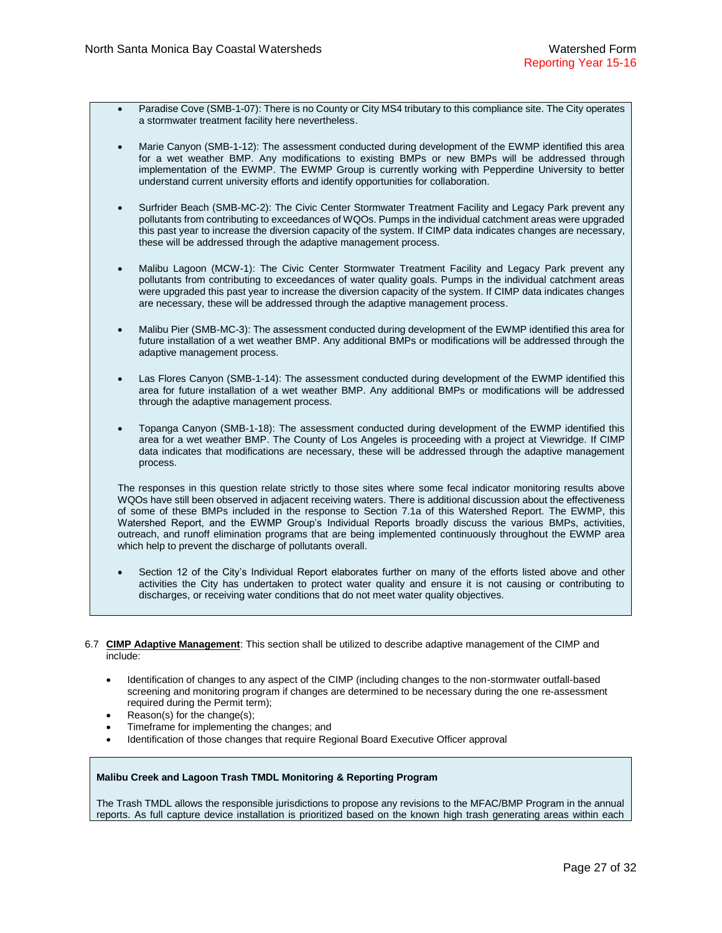- Paradise Cove (SMB-1-07): There is no County or City MS4 tributary to this compliance site. The City operates a stormwater treatment facility here nevertheless.
- Marie Canyon (SMB-1-12): The assessment conducted during development of the EWMP identified this area for a wet weather BMP. Any modifications to existing BMPs or new BMPs will be addressed through implementation of the EWMP. The EWMP Group is currently working with Pepperdine University to better understand current university efforts and identify opportunities for collaboration.
- Surfrider Beach (SMB-MC-2): The Civic Center Stormwater Treatment Facility and Legacy Park prevent any pollutants from contributing to exceedances of WQOs. Pumps in the individual catchment areas were upgraded this past year to increase the diversion capacity of the system. If CIMP data indicates changes are necessary, these will be addressed through the adaptive management process.
- Malibu Lagoon (MCW-1): The Civic Center Stormwater Treatment Facility and Legacy Park prevent any pollutants from contributing to exceedances of water quality goals. Pumps in the individual catchment areas were upgraded this past year to increase the diversion capacity of the system. If CIMP data indicates changes are necessary, these will be addressed through the adaptive management process.
- Malibu Pier (SMB-MC-3): The assessment conducted during development of the EWMP identified this area for future installation of a wet weather BMP. Any additional BMPs or modifications will be addressed through the adaptive management process.
- Las Flores Canyon (SMB-1-14): The assessment conducted during development of the EWMP identified this area for future installation of a wet weather BMP. Any additional BMPs or modifications will be addressed through the adaptive management process.
- Topanga Canyon (SMB-1-18): The assessment conducted during development of the EWMP identified this area for a wet weather BMP. The County of Los Angeles is proceeding with a project at Viewridge. If CIMP data indicates that modifications are necessary, these will be addressed through the adaptive management process.

The responses in this question relate strictly to those sites where some fecal indicator monitoring results above WQOs have still been observed in adjacent receiving waters. There is additional discussion about the effectiveness of some of these BMPs included in the response to Section 7.1a of this Watershed Report. The EWMP, this Watershed Report, and the EWMP Group's Individual Reports broadly discuss the various BMPs, activities, outreach, and runoff elimination programs that are being implemented continuously throughout the EWMP area which help to prevent the discharge of pollutants overall.

- Section 12 of the City's Individual Report elaborates further on many of the efforts listed above and other activities the City has undertaken to protect water quality and ensure it is not causing or contributing to discharges, or receiving water conditions that do not meet water quality objectives.
- 6.7 **CIMP Adaptive Management**: This section shall be utilized to describe adaptive management of the CIMP and include:
	- Identification of changes to any aspect of the CIMP (including changes to the non-stormwater outfall-based screening and monitoring program if changes are determined to be necessary during the one re-assessment required during the Permit term);
	- Reason(s) for the change(s);
	- Timeframe for implementing the changes; and
	- Identification of those changes that require Regional Board Executive Officer approval

### **Malibu Creek and Lagoon Trash TMDL Monitoring & Reporting Program**

The Trash TMDL allows the responsible jurisdictions to propose any revisions to the MFAC/BMP Program in the annual reports. As full capture device installation is prioritized based on the known high trash generating areas within each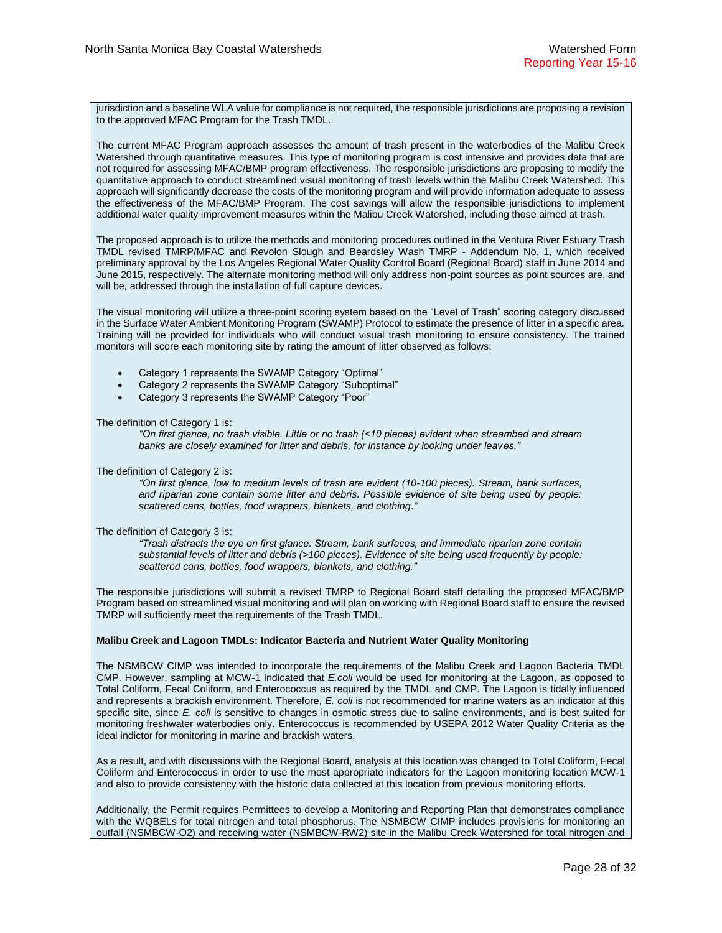jurisdiction and a baseline WLA value for compliance is not required, the responsible jurisdictions are proposing a revision to the approved MFAC Program for the Trash TMDL.

The current MFAC Program approach assesses the amount of trash present in the waterbodies of the Malibu Creek Watershed through quantitative measures. This type of monitoring program is cost intensive and provides data that are not required for assessing MFAC/BMP program effectiveness. The responsible jurisdictions are proposing to modify the quantitative approach to conduct streamlined visual monitoring of trash levels within the Malibu Creek Watershed. This approach will significantly decrease the costs of the monitoring program and will provide information adequate to assess the effectiveness of the MFAC/BMP Program. The cost savings will allow the responsible jurisdictions to implement additional water quality improvement measures within the Malibu Creek Watershed, including those aimed at trash.

The proposed approach is to utilize the methods and monitoring procedures outlined in the Ventura River Estuary Trash TMDL revised TMRP/MFAC and Revolon Slough and Beardsley Wash TMRP - Addendum No. 1, which received preliminary approval by the Los Angeles Regional Water Quality Control Board (Regional Board) staff in June 2014 and June 2015, respectively. The alternate monitoring method will only address non-point sources as point sources are, and will be, addressed through the installation of full capture devices.

The visual monitoring will utilize a three-point scoring system based on the "Level of Trash" scoring category discussed in the Surface Water Ambient Monitoring Program (SWAMP) Protocol to estimate the presence of litter in a specific area. Training will be provided for individuals who will conduct visual trash monitoring to ensure consistency. The trained monitors will score each monitoring site by rating the amount of litter observed as follows:

- Category 1 represents the SWAMP Category "Optimal"
- Category 2 represents the SWAMP Category "Suboptimal"
- Category 3 represents the SWAMP Category "Poor"

The definition of Category 1 is:

*"On first glance, no trash visible. Little or no trash (<10 pieces) evident when streambed and stream banks are closely examined for litter and debris, for instance by looking under leaves."*

The definition of Category 2 is:

*"On first glance, low to medium levels of trash are evident (10-100 pieces). Stream, bank surfaces, and riparian zone contain some litter and debris. Possible evidence of site being used by people: scattered cans, bottles, food wrappers, blankets, and clothing*.*"*

The definition of Category 3 is:

*"Trash distracts the eye on first glance. Stream, bank surfaces, and immediate riparian zone contain substantial levels of litter and debris (>100 pieces). Evidence of site being used frequently by people: scattered cans, bottles, food wrappers, blankets, and clothing."*

The responsible jurisdictions will submit a revised TMRP to Regional Board staff detailing the proposed MFAC/BMP Program based on streamlined visual monitoring and will plan on working with Regional Board staff to ensure the revised TMRP will sufficiently meet the requirements of the Trash TMDL.

#### **Malibu Creek and Lagoon TMDLs: Indicator Bacteria and Nutrient Water Quality Monitoring**

The NSMBCW CIMP was intended to incorporate the requirements of the Malibu Creek and Lagoon Bacteria TMDL CMP. However, sampling at MCW-1 indicated that *E.coli* would be used for monitoring at the Lagoon, as opposed to Total Coliform, Fecal Coliform, and Enterococcus as required by the TMDL and CMP. The Lagoon is tidally influenced and represents a brackish environment. Therefore, *E. coli* is not recommended for marine waters as an indicator at this specific site, since *E. coli* is sensitive to changes in osmotic stress due to saline environments, and is best suited for monitoring freshwater waterbodies only. Enterococcus is recommended by USEPA 2012 Water Quality Criteria as the ideal indictor for monitoring in marine and brackish waters.

As a result, and with discussions with the Regional Board, analysis at this location was changed to Total Coliform, Fecal Coliform and Enterococcus in order to use the most appropriate indicators for the Lagoon monitoring location MCW-1 and also to provide consistency with the historic data collected at this location from previous monitoring efforts.

Additionally, the Permit requires Permittees to develop a Monitoring and Reporting Plan that demonstrates compliance with the WQBELs for total nitrogen and total phosphorus. The NSMBCW CIMP includes provisions for monitoring an outfall (NSMBCW-O2) and receiving water (NSMBCW-RW2) site in the Malibu Creek Watershed for total nitrogen and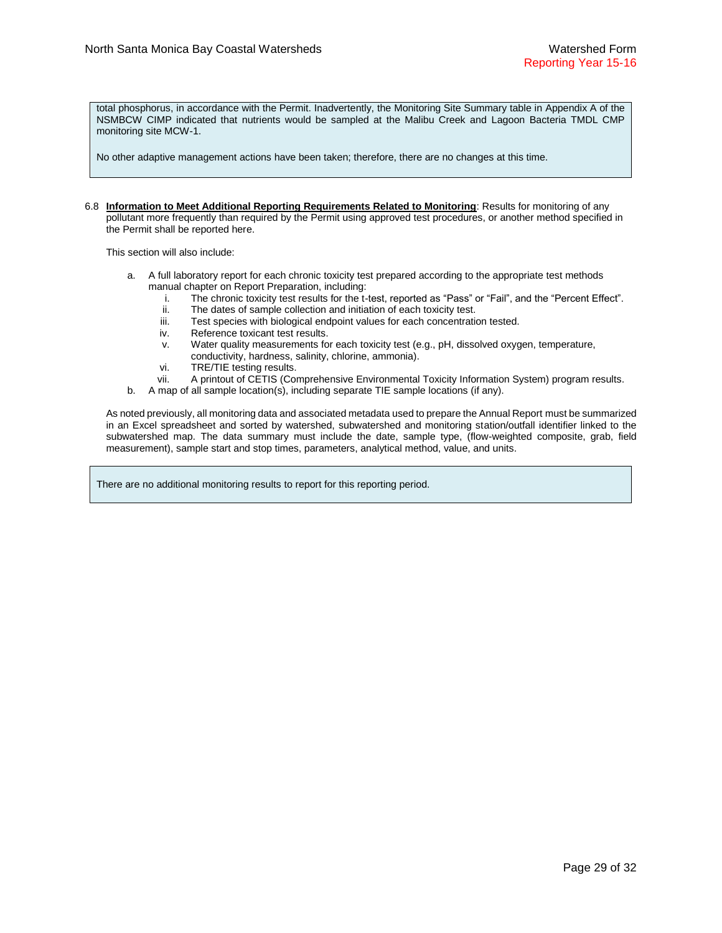total phosphorus, in accordance with the Permit. Inadvertently, the Monitoring Site Summary table in Appendix A of the NSMBCW CIMP indicated that nutrients would be sampled at the Malibu Creek and Lagoon Bacteria TMDL CMP monitoring site MCW-1.

No other adaptive management actions have been taken; therefore, there are no changes at this time.

6.8 **Information to Meet Additional Reporting Requirements Related to Monitoring**: Results for monitoring of any pollutant more frequently than required by the Permit using approved test procedures, or another method specified in the Permit shall be reported here.

This section will also include:

- a. A full laboratory report for each chronic toxicity test prepared according to the appropriate test methods manual chapter on Report Preparation, including:
	- i. The chronic toxicity test results for the t-test, reported as "Pass" or "Fail", and the "Percent Effect".
	- ii. The dates of sample collection and initiation of each toxicity test.
	- iii. Test species with biological endpoint values for each concentration tested.
	- iv. Reference toxicant test results.
	- v. Water quality measurements for each toxicity test (e.g., pH, dissolved oxygen, temperature, conductivity, hardness, salinity, chlorine, ammonia).
	- vi. TRE/TIE testing results.
	- vii. A printout of CETIS (Comprehensive Environmental Toxicity Information System) program results.
- b. A map of all sample location(s), including separate TIE sample locations (if any).

As noted previously, all monitoring data and associated metadata used to prepare the Annual Report must be summarized in an Excel spreadsheet and sorted by watershed, subwatershed and monitoring station/outfall identifier linked to the subwatershed map. The data summary must include the date, sample type, (flow-weighted composite, grab, field measurement), sample start and stop times, parameters, analytical method, value, and units.

There are no additional monitoring results to report for this reporting period.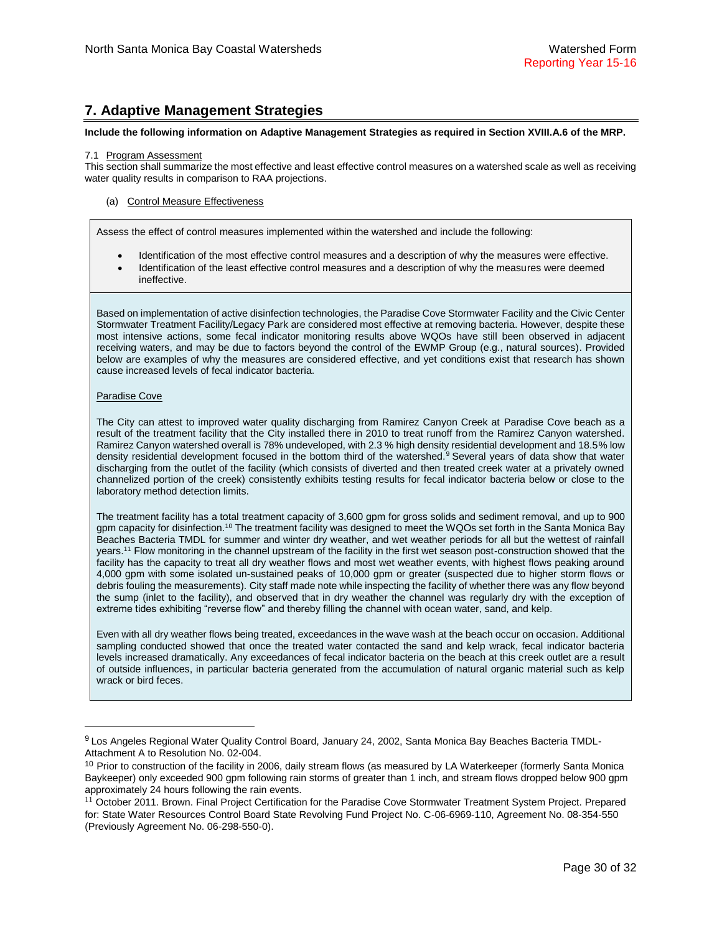# **7. Adaptive Management Strategies**

#### **Include the following information on Adaptive Management Strategies as required in Section XVIII.A.6 of the MRP.**

#### 7.1 Program Assessment

This section shall summarize the most effective and least effective control measures on a watershed scale as well as receiving water quality results in comparison to RAA projections.

#### (a) Control Measure Effectiveness

Assess the effect of control measures implemented within the watershed and include the following:

- Identification of the most effective control measures and a description of why the measures were effective.
- Identification of the least effective control measures and a description of why the measures were deemed ineffective.

Based on implementation of active disinfection technologies, the Paradise Cove Stormwater Facility and the Civic Center Stormwater Treatment Facility/Legacy Park are considered most effective at removing bacteria. However, despite these most intensive actions, some fecal indicator monitoring results above WQOs have still been observed in adjacent receiving waters, and may be due to factors beyond the control of the EWMP Group (e.g., natural sources). Provided below are examples of why the measures are considered effective, and yet conditions exist that research has shown cause increased levels of fecal indicator bacteria.

#### Paradise Cove

 $\overline{a}$ 

The City can attest to improved water quality discharging from Ramirez Canyon Creek at Paradise Cove beach as a result of the treatment facility that the City installed there in 2010 to treat runoff from the Ramirez Canyon watershed. Ramirez Canyon watershed overall is 78% undeveloped, with 2.3 % high density residential development and 18.5% low density residential development focused in the bottom third of the watershed.<sup>9</sup> Several years of data show that water discharging from the outlet of the facility (which consists of diverted and then treated creek water at a privately owned channelized portion of the creek) consistently exhibits testing results for fecal indicator bacteria below or close to the laboratory method detection limits.

The treatment facility has a total treatment capacity of 3,600 gpm for gross solids and sediment removal, and up to 900 gpm capacity for disinfection.<sup>10</sup> The treatment facility was designed to meet the WQOs set forth in the Santa Monica Bay Beaches Bacteria TMDL for summer and winter dry weather, and wet weather periods for all but the wettest of rainfall years.<sup>11</sup> Flow monitoring in the channel upstream of the facility in the first wet season post-construction showed that the facility has the capacity to treat all dry weather flows and most wet weather events, with highest flows peaking around 4,000 gpm with some isolated un-sustained peaks of 10,000 gpm or greater (suspected due to higher storm flows or debris fouling the measurements). City staff made note while inspecting the facility of whether there was any flow beyond the sump (inlet to the facility), and observed that in dry weather the channel was regularly dry with the exception of extreme tides exhibiting "reverse flow" and thereby filling the channel with ocean water, sand, and kelp.

Even with all dry weather flows being treated, exceedances in the wave wash at the beach occur on occasion. Additional sampling conducted showed that once the treated water contacted the sand and kelp wrack, fecal indicator bacteria levels increased dramatically. Any exceedances of fecal indicator bacteria on the beach at this creek outlet are a result of outside influences, in particular bacteria generated from the accumulation of natural organic material such as kelp wrack or bird feces.

<sup>9</sup> Los Angeles Regional Water Quality Control Board, January 24, 2002, Santa Monica Bay Beaches Bacteria TMDL-Attachment A to Resolution No. 02-004.

<sup>&</sup>lt;sup>10</sup> Prior to construction of the facility in 2006, daily stream flows (as measured by LA Waterkeeper (formerly Santa Monica Baykeeper) only exceeded 900 gpm following rain storms of greater than 1 inch, and stream flows dropped below 900 gpm approximately 24 hours following the rain events.

<sup>&</sup>lt;sup>11</sup> October 2011. Brown. Final Project Certification for the Paradise Cove Stormwater Treatment System Project. Prepared for: State Water Resources Control Board State Revolving Fund Project No. C-06-6969-110, Agreement No. 08-354-550 (Previously Agreement No. 06-298-550-0).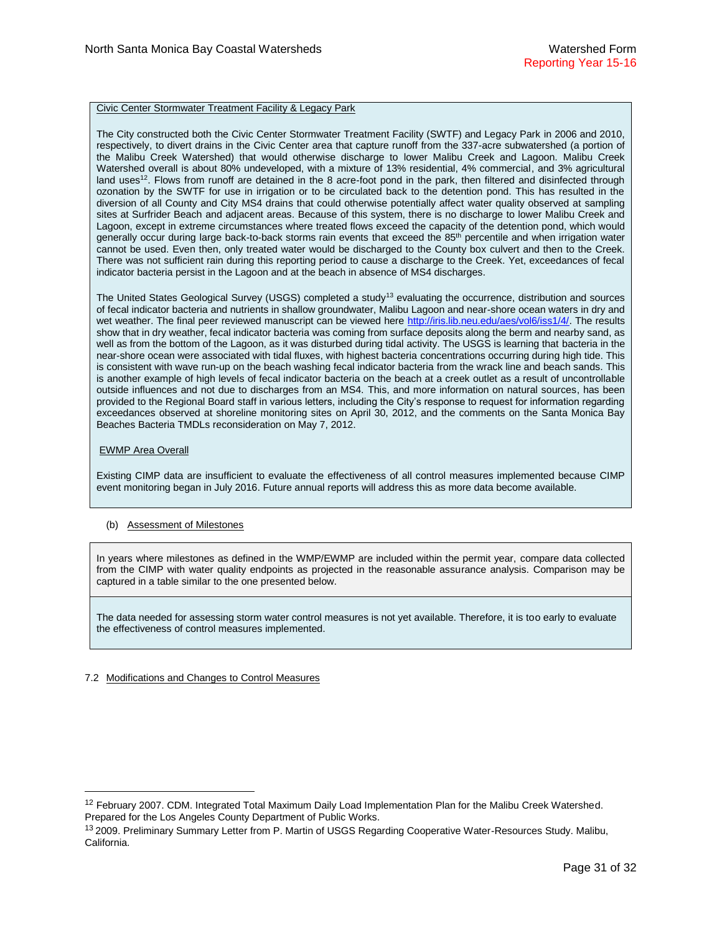#### Civic Center Stormwater Treatment Facility & Legacy Park

The City constructed both the Civic Center Stormwater Treatment Facility (SWTF) and Legacy Park in 2006 and 2010, respectively, to divert drains in the Civic Center area that capture runoff from the 337-acre subwatershed (a portion of the Malibu Creek Watershed) that would otherwise discharge to lower Malibu Creek and Lagoon. Malibu Creek Watershed overall is about 80% undeveloped, with a mixture of 13% residential, 4% commercial, and 3% agricultural land uses<sup>12</sup>. Flows from runoff are detained in the 8 acre-foot pond in the park, then filtered and disinfected through ozonation by the SWTF for use in irrigation or to be circulated back to the detention pond. This has resulted in the diversion of all County and City MS4 drains that could otherwise potentially affect water quality observed at sampling sites at Surfrider Beach and adjacent areas. Because of this system, there is no discharge to lower Malibu Creek and Lagoon, except in extreme circumstances where treated flows exceed the capacity of the detention pond, which would generally occur during large back-to-back storms rain events that exceed the 85<sup>th</sup> percentile and when irrigation water cannot be used. Even then, only treated water would be discharged to the County box culvert and then to the Creek. There was not sufficient rain during this reporting period to cause a discharge to the Creek. Yet, exceedances of fecal indicator bacteria persist in the Lagoon and at the beach in absence of MS4 discharges.

The United States Geological Survey (USGS) completed a study<sup>13</sup> evaluating the occurrence, distribution and sources of fecal indicator bacteria and nutrients in shallow groundwater, Malibu Lagoon and near-shore ocean waters in dry and wet weather. The final peer reviewed manuscript can be viewed here [http://iris.lib.neu.edu/aes/vol6/iss1/4/.](http://iris.lib.neu.edu/aes/vol6/iss1/4/) The results show that in dry weather, fecal indicator bacteria was coming from surface deposits along the berm and nearby sand, as well as from the bottom of the Lagoon, as it was disturbed during tidal activity. The USGS is learning that bacteria in the near-shore ocean were associated with tidal fluxes, with highest bacteria concentrations occurring during high tide. This is consistent with wave run-up on the beach washing fecal indicator bacteria from the wrack line and beach sands. This is another example of high levels of fecal indicator bacteria on the beach at a creek outlet as a result of uncontrollable outside influences and not due to discharges from an MS4. This, and more information on natural sources, has been provided to the Regional Board staff in various letters, including the City's response to request for information regarding exceedances observed at shoreline monitoring sites on April 30, 2012, and the comments on the Santa Monica Bay Beaches Bacteria TMDLs reconsideration on May 7, 2012.

### EWMP Area Overall

 $\overline{a}$ 

Existing CIMP data are insufficient to evaluate the effectiveness of all control measures implemented because CIMP event monitoring began in July 2016. Future annual reports will address this as more data become available.

## (b) Assessment of Milestones

In years where milestones as defined in the WMP/EWMP are included within the permit year, compare data collected from the CIMP with water quality endpoints as projected in the reasonable assurance analysis. Comparison may be captured in a table similar to the one presented below.

The data needed for assessing storm water control measures is not yet available. Therefore, it is too early to evaluate the effectiveness of control measures implemented.

## 7.2 Modifications and Changes to Control Measures

<sup>&</sup>lt;sup>12</sup> February 2007. CDM. Integrated Total Maximum Daily Load Implementation Plan for the Malibu Creek Watershed. Prepared for the Los Angeles County Department of Public Works.

<sup>&</sup>lt;sup>13</sup> 2009. Preliminary Summary Letter from P. Martin of USGS Regarding Cooperative Water-Resources Study. Malibu, California.